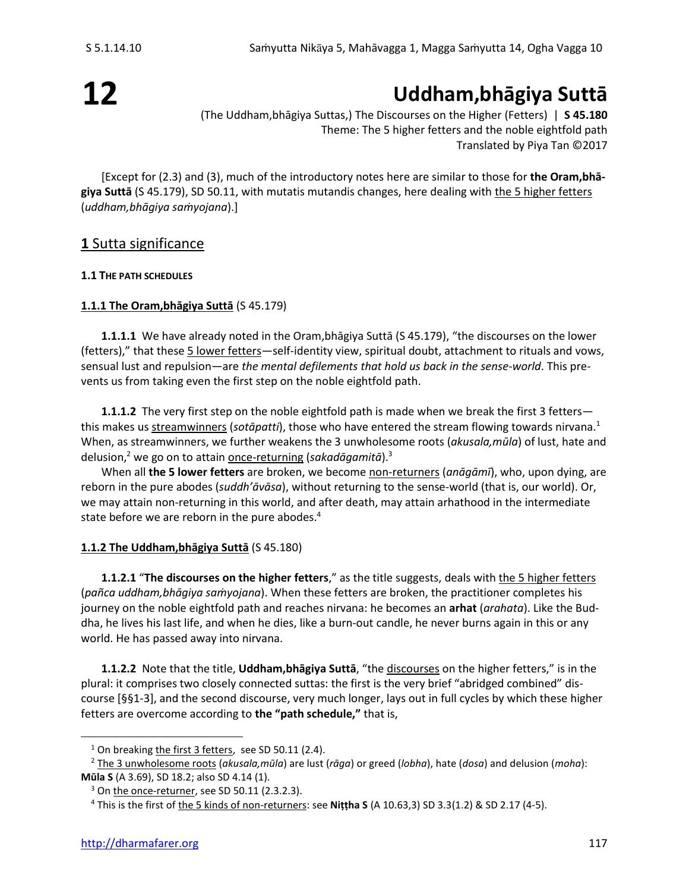# **12**

## **Uddham,bhāgiya Suttā**

(The Uddham,bhāgiya Suttas,) The Discourses on the Higher (Fetters) | **S 45.180** Theme: The 5 higher fetters and the noble eightfold path Translated by Piya Tan ©2017

[Except for (2.3) and (3), much of the introductory notes here are similar to those for **the Oram,bhāgiya Suttā** (S 45.179), SD 50.11, with mutatis mutandis changes, here dealing with the 5 higher fetters (*uddham,bhāgiya saṁyojana*).]

## **1** Sutta significance

## **1.1 THE PATH SCHEDULES**

## **1.1.1 The Oram,bhāgiya Suttā** (S 45.179)

**1.1.1.1** We have already noted in the Oram,bhāgiya Suttā (S 45.179), "the discourses on the lower (fetters)," that these 5 lower fetters—self-identity view, spiritual doubt, attachment to rituals and vows, sensual lust and repulsion—are *the mental defilements that hold us back in the sense-world*. This prevents us from taking even the first step on the noble eightfold path.

**1.1.1.2** The very first step on the noble eightfold path is made when we break the first 3 fetters this makes us streamwinners (*sotāpatti*), those who have entered the stream flowing towards nirvana.<sup>1</sup> When, as streamwinners, we further weakens the 3 unwholesome roots (*akusala,mūla*) of lust, hate and delusion,<sup>2</sup> we go on to attain <u>once-returnin</u>g (sakadāgamitā).<sup>3</sup>

When all **the 5 lower fetters** are broken, we become non-returners (*anāgāmī*), who, upon dying, are reborn in the pure abodes (*suddh'āvāsa*), without returning to the sense-world (that is, our world). Or, we may attain non-returning in this world, and after death, may attain arhathood in the intermediate state before we are reborn in the pure abodes. 4

## **1.1.2 The Uddham,bhāgiya Suttā** (S 45.180)

**1.1.2.1** "**The discourses on the higher fetters**," as the title suggests, deals with the 5 higher fetters (*pañca uddham,bhāgiya saṁyojana*). When these fetters are broken, the practitioner completes his journey on the noble eightfold path and reaches nirvana: he becomes an **arhat** (*arahata*). Like the Buddha, he lives his last life, and when he dies, like a burn-out candle, he never burns again in this or any world. He has passed away into nirvana.

**1.1.2.2** Note that the title, **Uddham,bhāgiya Suttā**, "the discourses on the higher fetters," is in the plural: it comprises two closely connected suttas: the first is the very brief "abridged combined" discourse [§§1-3], and the second discourse, very much longer, lays out in full cycles by which these higher fetters are overcome according to **the "path schedule,"** that is,

<sup>&</sup>lt;sup>1</sup> On breaking the first 3 fetters, see SD 50.11 (2.4).

<sup>2</sup> The 3 unwholesome roots (*akusala,mūla*) are lust (*rāga*) or greed (*lobha*), hate (*dosa*) and delusion (*moha*): **Mūla S** (A 3.69), SD 18.2; also SD 4.14 (1).

 $3$  On the once-returner, see SD 50.11 (2.3.2.3).

<sup>4</sup> This is the first of the 5 kinds of non-returners: see **Niṭṭha S** (A 10.63,3) SD 3.3(1.2) & SD 2.17 (4-5).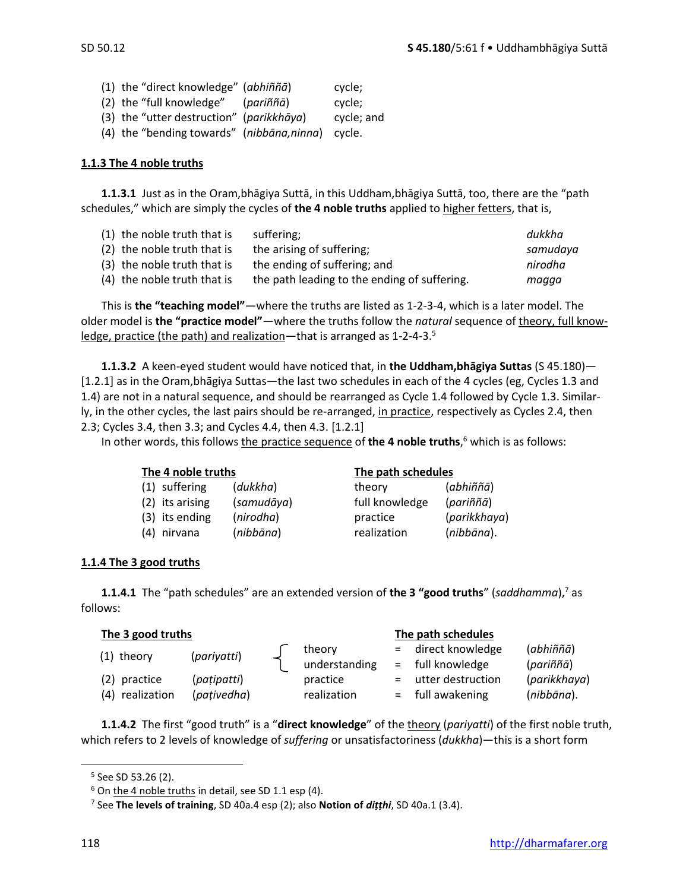(1) the "direct knowledge" (*abhiññā*) cycle; (2) the "full knowledge" (*pariññā*) cycle; (3) the "utter destruction" (*parikkhāya*) cycle; and (4) the "bending towards" (*nibbāna,ninna*) cycle.

#### **1.1.3 The 4 noble truths**

**1.1.3.1** Just as in the Oram,bhāgiya Suttā, in this Uddham,bhāgiya Suttā, too, there are the "path schedules," which are simply the cycles of **the 4 noble truths** applied to higher fetters, that is,

| (1) the noble truth that is | suffering;                                   | dukkha   |
|-----------------------------|----------------------------------------------|----------|
| (2) the noble truth that is | the arising of suffering;                    | samudaya |
| (3) the noble truth that is | the ending of suffering; and                 | nirodha  |
| (4) the noble truth that is | the path leading to the ending of suffering. | magga    |

This is **the "teaching model"**—where the truths are listed as 1-2-3-4, which is a later model. The older model is **the "practice model"**—where the truths follow the *natural* sequence of theory, full knowledge, practice (the path) and realization—that is arranged as 1-2-4-3.<sup>5</sup>

**1.1.3.2** A keen-eyed student would have noticed that, in **the Uddham,bhāgiya Suttas** (S 45.180)— [1.2.1] as in the Oram,bhāgiya Suttas—the last two schedules in each of the 4 cycles (eg, Cycles 1.3 and 1.4) are not in a natural sequence, and should be rearranged as Cycle 1.4 followed by Cycle 1.3. Similarly, in the other cycles, the last pairs should be re-arranged, in practice, respectively as Cycles 2.4, then 2.3; Cycles 3.4, then 3.3; and Cycles 4.4, then 4.3. [1.2.1]

In other words, this follows the practice sequence of **the 4 noble truths**, <sup>6</sup> which is as follows:

| The 4 noble truths |                 |            | The path schedules |              |  |  |
|--------------------|-----------------|------------|--------------------|--------------|--|--|
|                    | (1) suffering   | (dukkha)   | theory             | (abhiññā)    |  |  |
|                    | (2) its arising | (samudāya) | full knowledge     | (pariññā)    |  |  |
|                    | (3) its ending  | (nirodha)  | practice           | (parikkhaya) |  |  |
|                    | (4) nirvana     | (nibbāna)  | realization        | (nibbāna).   |  |  |

#### **1.1.4 The 3 good truths**

**1.1.4.1** The "path schedules" are an extended version of the 3 "good truths" (*saddhamma*),<sup>7</sup> as follows:

| The 3 good truths |             |  |               | The path schedules |                     |              |  |
|-------------------|-------------|--|---------------|--------------------|---------------------|--------------|--|
| $(1)$ theory      | (pariyatti) |  | theory        |                    | = direct knowledge  | (abhiññā)    |  |
|                   |             |  | understanding |                    | $=$ full knowledge  | (pariññā)    |  |
| (2) practice      | (pațipatti) |  | practice      |                    | = utter destruction | (parikkhaya) |  |
| (4) realization   | (pativedha) |  | realization   |                    | $=$ full awakening  | (nibbāna).   |  |

**1.1.4.2** The first "good truth" is a "**direct knowledge**" of the theory (*pariyatti*) of the first noble truth, which refers to 2 levels of knowledge of *suffering* or unsatisfactoriness (*dukkha*)—this is a short form

<sup>5</sup> See SD 53.26 (2).

 $6$  On the 4 noble truths in detail, see SD 1.1 esp (4).

<sup>7</sup> See **The levels of training**, SD 40a.4 esp (2); also **Notion of** *diṭṭhi*, SD 40a.1 (3.4).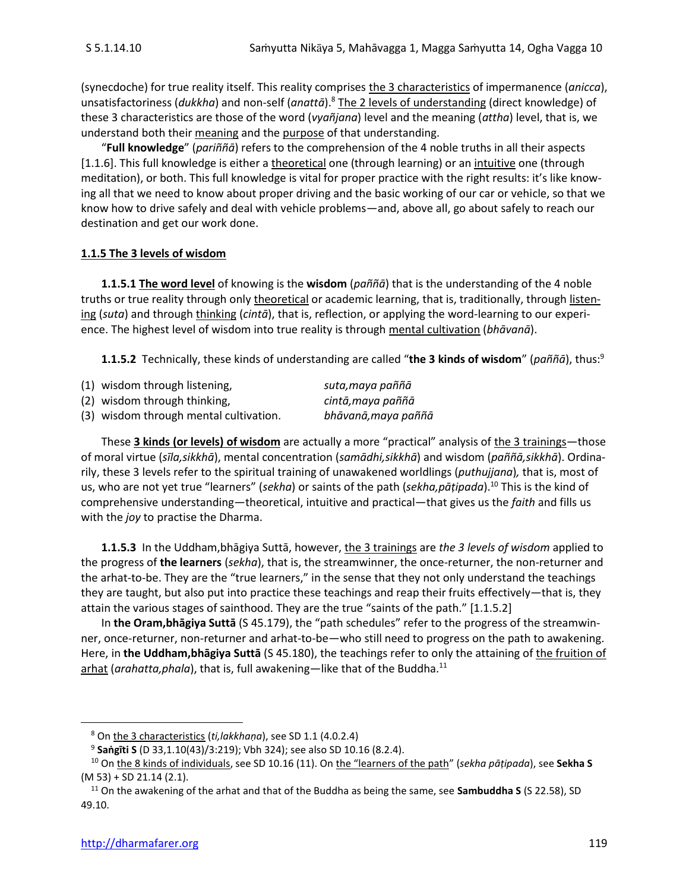(synecdoche) for true reality itself. This reality comprises the 3 characteristics of impermanence (*anicca*), unsatisfactoriness (*dukkha*) and non-self (*anattā*).<sup>8</sup> The 2 levels of understanding (direct knowledge) of these 3 characteristics are those of the word (*vyañjana*) level and the meaning (*attha*) level, that is, we understand both their meaning and the purpose of that understanding.

"**Full knowledge**" (*pariññā*) refers to the comprehension of the 4 noble truths in all their aspects [1.1.6]. This full knowledge is either a theoretical one (through learning) or an intuitive one (through meditation), or both. This full knowledge is vital for proper practice with the right results: it's like knowing all that we need to know about proper driving and the basic working of our car or vehicle, so that we know how to drive safely and deal with vehicle problems—and, above all, go about safely to reach our destination and get our work done.

#### **1.1.5 The 3 levels of wisdom**

**1.1.5.1 The word level** of knowing is the **wisdom** (*paññā*) that is the understanding of the 4 noble truths or true reality through only theoretical or academic learning, that is, traditionally, through listening (*suta*) and through thinking (*cintā*), that is, reflection, or applying the word-learning to our experience. The highest level of wisdom into true reality is through mental cultivation (*bhāvanā*).

**1.1.5.2** Technically, these kinds of understanding are called "**the 3 kinds of wisdom**" (*paññā*), thus:<sup>9</sup>

| (1) wisdom through listening,          | suta,maya paññā    |
|----------------------------------------|--------------------|
| (2) wisdom through thinking,           | cintā,maya paññā   |
| (3) wisdom through mental cultivation. | bhāvanā,maya paññā |

These **3 kinds (or levels) of wisdom** are actually a more "practical" analysis of the 3 trainings—those of moral virtue (*sīla,sikkhā*), mental concentration (*samādhi,sikkhā*) and wisdom (*paññā,sikkhā*). Ordinarily, these 3 levels refer to the spiritual training of unawakened worldlings (*puthujjana*)*,* that is, most of us, who are not yet true "learners" (*sekha*) or saints of the path (*sekha,pāṭipada*).<sup>10</sup> This is the kind of comprehensive understanding—theoretical, intuitive and practical—that gives us the *faith* and fills us with the *joy* to practise the Dharma.

**1.1.5.3** In the Uddham,bhāgiya Suttā, however, the 3 trainings are *the 3 levels of wisdom* applied to the progress of **the learners** (*sekha*), that is, the streamwinner, the once-returner, the non-returner and the arhat-to-be. They are the "true learners," in the sense that they not only understand the teachings they are taught, but also put into practice these teachings and reap their fruits effectively—that is, they attain the various stages of sainthood. They are the true "saints of the path." [1.1.5.2]

In **the Oram,bhāgiya Suttā** (S 45.179), the "path schedules" refer to the progress of the streamwinner, once-returner, non-returner and arhat-to-be—who still need to progress on the path to awakening. Here, in **the Uddham,bhāgiya Suttā** (S 45.180), the teachings refer to only the attaining of the fruition of arhat (*arahatta,phala*), that is, full awakening—like that of the Buddha. 11

<sup>8</sup> On the 3 characteristics (*ti,lakkhaṇa*), see SD 1.1 (4.0.2.4)

<sup>9</sup> **Saṅgīti S** (D 33,1.10(43)/3:219); Vbh 324); see also SD 10.16 (8.2.4).

<sup>10</sup> On the 8 kinds of individuals, see SD 10.16 (11). On the "learners of the path" (*sekha pāṭipada*), see **Sekha S**  (M 53) + SD 21.14 (2.1).

<sup>11</sup> On the awakening of the arhat and that of the Buddha as being the same, see **Sambuddha S** (S 22.58), SD 49.10.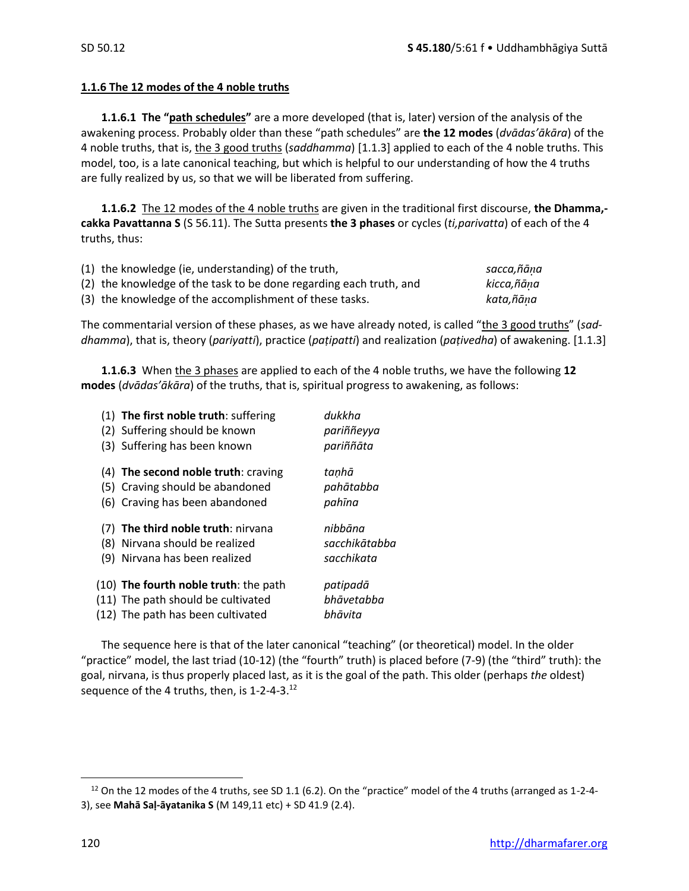#### **1.1.6 The 12 modes of the 4 noble truths**

**1.1.6.1 The "path schedules"** are a more developed (that is, later) version of the analysis of the awakening process. Probably older than these "path schedules" are **the 12 modes** (*dvādas'ākāra*) of the 4 noble truths, that is, the 3 good truths (*saddhamma*) [1.1.3] applied to each of the 4 noble truths. This model, too, is a late canonical teaching, but which is helpful to our understanding of how the 4 truths are fully realized by us, so that we will be liberated from suffering.

**1.1.6.2** The 12 modes of the 4 noble truths are given in the traditional first discourse, **the Dhamma, cakka Pavattanna S** (S 56.11). The Sutta presents **the 3 phases** or cycles (*ti,parivatta*) of each of the 4 truths, thus:

| (1) the knowledge (ie, understanding) of the truth,                | sacca,ñāna |
|--------------------------------------------------------------------|------------|
| (2) the knowledge of the task to be done regarding each truth, and | kicca,ñāna |
| (3) the knowledge of the accomplishment of these tasks.            | kata,ñāna  |

The commentarial version of these phases, as we have already noted, is called "the 3 good truths" (*saddhamma*), that is, theory (*pariyatti*), practice (*paṭipatti*) and realization (*paṭivedha*) of awakening. [1.1.3]

**1.1.6.3** When the 3 phases are applied to each of the 4 noble truths, we have the following **12 modes** (*dvādas'ākāra*) of the truths, that is, spiritual progress to awakening, as follows:

|     | (1) The first noble truth: suffering                                    | dukkha                |
|-----|-------------------------------------------------------------------------|-----------------------|
|     | (2) Suffering should be known                                           | pariññeyya            |
|     | (3) Suffering has been known                                            | pariññāta             |
|     | (4) The second noble truth: craving                                     | tanhā                 |
|     | (5) Craving should be abandoned                                         | pahātabba             |
|     | (6) Craving has been abandoned                                          | pahīna                |
|     |                                                                         |                       |
|     | (7) The third noble truth: nirvana                                      | nibbāna               |
| (8) | Nirvana should be realized                                              | sacchikātabba         |
| (9) | Nirvana has been realized                                               | sacchikata            |
|     |                                                                         |                       |
|     | (10) The fourth noble truth: the path                                   | patipadā              |
|     | (11) The path should be cultivated<br>(12) The path has been cultivated | bhāvetabba<br>bhāvita |

The sequence here is that of the later canonical "teaching" (or theoretical) model. In the older "practice" model, the last triad (10-12) (the "fourth" truth) is placed before (7-9) (the "third" truth): the goal, nirvana, is thus properly placed last, as it is the goal of the path. This older (perhaps *the* oldest) sequence of the 4 truths, then, is 1-2-4-3.<sup>12</sup>

 $12$  On the 12 modes of the 4 truths, see SD 1.1 (6.2). On the "practice" model of the 4 truths (arranged as 1-2-4-3), see **Mahā Saḷ-āyatanika S** (M 149,11 etc) + SD 41.9 (2.4).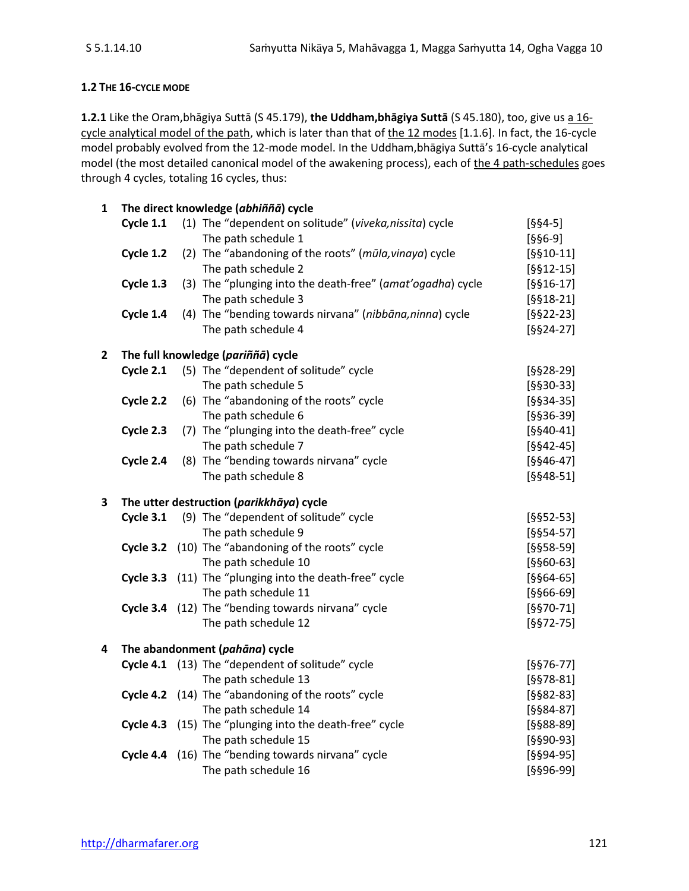## **1.2 THE 16-CYCLE MODE**

**1.2.1** Like the Oram,bhāgiya Suttā (S 45.179), **the Uddham,bhāgiya Suttā** (S 45.180), too, give us a 16 cycle analytical model of the path, which is later than that of the 12 modes [1.1.6]. In fact, the 16-cycle model probably evolved from the 12-mode model. In the Uddham,bhāgiya Suttā's 16-cycle analytical model (the most detailed canonical model of the awakening process), each of the 4 path-schedules goes through 4 cycles, totaling 16 cycles, thus:

| 1            |           | The direct knowledge (abhiññā) cycle                       |             |
|--------------|-----------|------------------------------------------------------------|-------------|
|              | Cycle 1.1 | (1) The "dependent on solitude" (viveka, nissita) cycle    | $[664-5]$   |
|              |           | The path schedule 1                                        | $[666-9]$   |
|              | Cycle 1.2 | (2) The "abandoning of the roots" (mūla, vinaya) cycle     | $[§§10-11]$ |
|              |           | The path schedule 2                                        | $[§§12-15]$ |
|              | Cycle 1.3 | (3) The "plunging into the death-free" (amat'ogadha) cycle | $[§§16-17]$ |
|              |           | The path schedule 3                                        | $[§§18-21]$ |
|              | Cycle 1.4 | (4) The "bending towards nirvana" (nibbāna, ninna) cycle   | $[6622-23]$ |
|              |           | The path schedule 4                                        | $[6624-27]$ |
| $\mathbf{2}$ |           | The full knowledge (pariññā) cycle                         |             |
|              | Cycle 2.1 | (5) The "dependent of solitude" cycle                      | $[§§28-29]$ |
|              |           | The path schedule 5                                        | $[6630-33]$ |
|              | Cycle 2.2 | (6) The "abandoning of the roots" cycle                    | $[§§34-35]$ |
|              |           | The path schedule 6                                        | $[§§36-39]$ |
|              | Cycle 2.3 | (7) The "plunging into the death-free" cycle               | $[§§40-41]$ |
|              |           | The path schedule 7                                        | $[§§42-45]$ |
|              | Cycle 2.4 | (8) The "bending towards nirvana" cycle                    | $[§§46-47]$ |
|              |           | The path schedule 8                                        | $[§§48-51]$ |
| 3            |           | The utter destruction (parikkhāya) cycle                   |             |
|              | Cycle 3.1 | (9) The "dependent of solitude" cycle                      | $[§§52-53]$ |
|              |           | The path schedule 9                                        | $[§§54-57]$ |
|              |           | Cycle 3.2 (10) The "abandoning of the roots" cycle         | $[§§58-59]$ |
|              |           | The path schedule 10                                       | $[§§60-63]$ |
|              |           | Cycle 3.3 (11) The "plunging into the death-free" cycle    | $[§§64-65]$ |
|              |           | The path schedule 11                                       | $[§§66-69]$ |
|              |           | Cycle 3.4 (12) The "bending towards nirvana" cycle         | $[6670-71]$ |
|              |           | The path schedule 12                                       | $[6672-75]$ |
| 4            |           | The abandonment (pahāna) cycle                             |             |
|              |           | Cycle 4.1 (13) The "dependent of solitude" cycle           | $[§§76-77]$ |
|              |           | The path schedule 13                                       | $[§§78-81]$ |
|              |           | Cycle 4.2 (14) The "abandoning of the roots" cycle         | $[§§82-83]$ |
|              |           | The path schedule 14                                       | $[§§84-87]$ |
|              |           | Cycle 4.3 (15) The "plunging into the death-free" cycle    | $[§§88-89]$ |
|              |           | The path schedule 15                                       | $[§§90-93]$ |
|              |           | Cycle 4.4 (16) The "bending towards nirvana" cycle         | $[§§94-95]$ |
|              |           | The path schedule 16                                       | [§§96-99]   |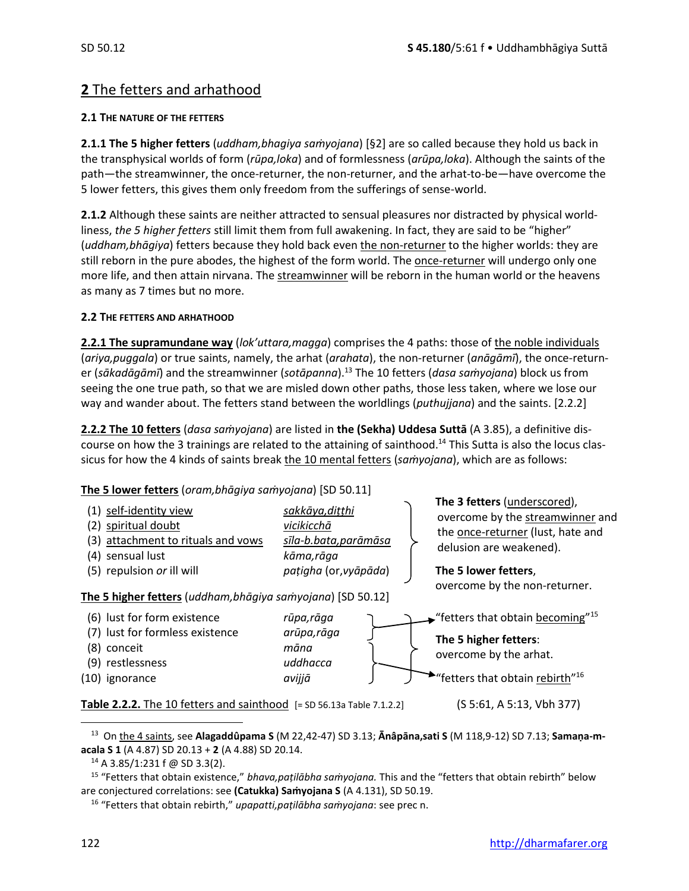## **2** The fetters and arhathood

#### **2.1 THE NATURE OF THE FETTERS**

**2.1.1 The 5 higher fetters** (*uddham,bhagiya saṁyojana*) [§2] are so called because they hold us back in the transphysical worlds of form (*rūpa,loka*) and of formlessness (*arūpa,loka*). Although the saints of the path—the streamwinner, the once-returner, the non-returner, and the arhat-to-be—have overcome the 5 lower fetters, this gives them only freedom from the sufferings of sense-world.

**2.1.2** Although these saints are neither attracted to sensual pleasures nor distracted by physical worldliness, *the 5 higher fetters* still limit them from full awakening. In fact, they are said to be "higher" (*uddham,bhāgiya*) fetters because they hold back even the non-returner to the higher worlds: they are still reborn in the pure abodes, the highest of the form world. The once-returner will undergo only one more life, and then attain nirvana. The streamwinner will be reborn in the human world or the heavens as many as 7 times but no more.

#### **2.2 THE FETTERS AND ARHATHOOD**

**2.2.1 The supramundane way** (*lok'uttara,magga*) comprises the 4 paths: those of the noble individuals (*ariya,puggala*) or true saints, namely, the arhat (*arahata*), the non-returner (*anāgāmī*), the once-returner (*sākadāgāmī*) and the streamwinner (*sotāpanna*). <sup>13</sup> The 10 fetters (*dasa saṁyojana*) block us from seeing the one true path, so that we are misled down other paths, those less taken, where we lose our way and wander about. The fetters stand between the worldlings (*puthujjana*) and the saints. [2.2.2]

**2.2.2 The 10 fetters** (*dasa saṁyojana*) are listed in **the (Sekha) Uddesa Suttā** (A 3.85), a definitive discourse on how the 3 trainings are related to the attaining of sainthood.<sup>14</sup> This Sutta is also the locus classicus for how the 4 kinds of saints break the 10 mental fetters (*saṁyojana*), which are as follows:

## **The 5 lower fetters** (*oram,bhāgiya saṁyojana*) [SD 50.11]

| (1) self-identity view<br>(2) spiritual doubt<br>(3) attachment to rituals and vows<br>(4) sensual lust<br>(5) repulsion or ill will<br>The 5 higher fetters (uddham, bhāgiya samyojana) [SD 50.12] | sakkāya, dițțhi<br>vicikicchā<br>sīla-b.bata, parāmāsa<br>kāma,rāga<br>pațigha (or, vyāpāda) | The 3 fetters (underscored),<br>overcome by the streamwinner and<br>the once-returner (lust, hate and<br>delusion are weakened).<br>The 5 lower fetters,<br>overcome by the non-returner. |
|-----------------------------------------------------------------------------------------------------------------------------------------------------------------------------------------------------|----------------------------------------------------------------------------------------------|-------------------------------------------------------------------------------------------------------------------------------------------------------------------------------------------|
| (6) lust for form existence<br>(7) lust for formless existence<br>(8) conceit<br>(9) restlessness<br>(10) ignorance                                                                                 | rūpa,rāga<br>arūpa,rāga<br>māna<br>uddhacca<br>avijjā                                        | <b>Fetters that obtain becoming</b> "15<br>The 5 higher fetters:<br>overcome by the arhat.<br>"fetters that obtain rebirth" <sup>16</sup>                                                 |
| <b>Table 2.2.2.</b> The 10 fetters and sainthood $[= SD 56.13a Table 7.1.2.2]$                                                                                                                      |                                                                                              | (S 5:61, A 5:13, Vbh 377)                                                                                                                                                                 |

13 On the 4 saints, see **Alagaddûpama S** (M 22,42-47) SD 3.13; **Ānâpāna,sati S** (M 118,9-12) SD 7.13; **Samaṇa-macala S 1** (A 4.87) SD 20.13 + **2** (A 4.88) SD 20.14.

 $14$  A 3.85/1:231 f @ SD 3.3(2).

<sup>15</sup> "Fetters that obtain existence," *bhava,paṭilābha saṁyojana.* This and the "fetters that obtain rebirth" below are conjectured correlations: see **(Catukka) Saṁyojana S** (A 4.131), SD 50.19.

<sup>16</sup> "Fetters that obtain rebirth," *upapatti,paṭilābha saṁyojana*: see prec n.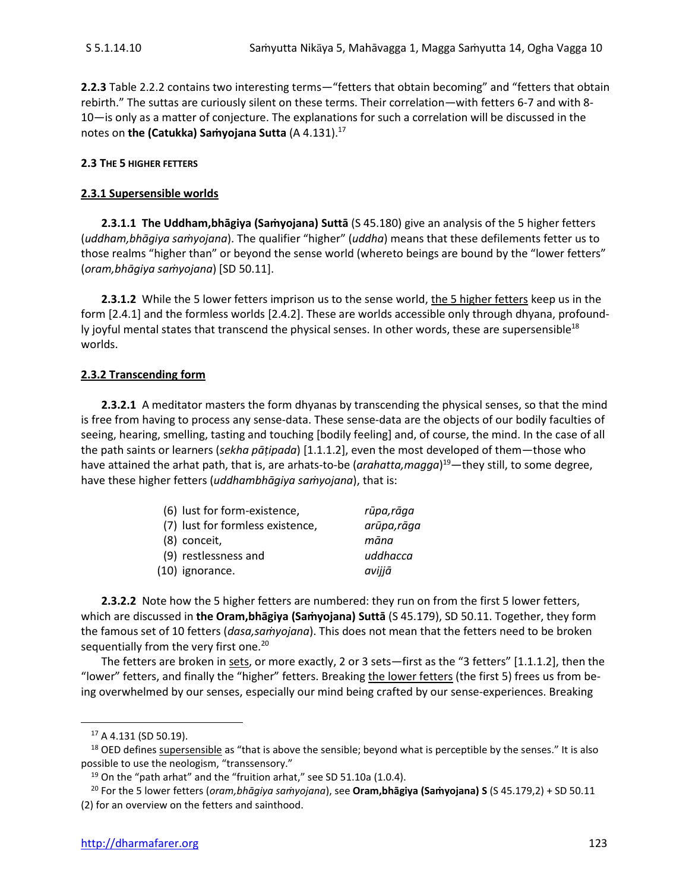**2.2.3** Table 2.2.2 contains two interesting terms—"fetters that obtain becoming" and "fetters that obtain rebirth." The suttas are curiously silent on these terms. Their correlation—with fetters 6-7 and with 8- 10—is only as a matter of conjecture. The explanations for such a correlation will be discussed in the notes on **the (Catukka) Saṁyojana Sutta** (A 4.131).<sup>17</sup>

#### **2.3 THE 5 HIGHER FETTERS**

#### **2.3.1 Supersensible worlds**

**2.3.1.1 The Uddham,bhāgiya (Saṁyojana) Suttā** (S 45.180) give an analysis of the 5 higher fetters (*uddham,bhāgiya saṁyojana*). The qualifier "higher" (*uddha*) means that these defilements fetter us to those realms "higher than" or beyond the sense world (whereto beings are bound by the "lower fetters" (*oram,bhāgiya saṁyojana*) [SD 50.11].

**2.3.1.2** While the 5 lower fetters imprison us to the sense world, the 5 higher fetters keep us in the form [2.4.1] and the formless worlds [2.4.2]. These are worlds accessible only through dhyana, profoundly joyful mental states that transcend the physical senses. In other words, these are supersensible<sup>18</sup> worlds.

#### **2.3.2 Transcending form**

**2.3.2.1** A meditator masters the form dhyanas by transcending the physical senses, so that the mind is free from having to process any sense-data. These sense-data are the objects of our bodily faculties of seeing, hearing, smelling, tasting and touching [bodily feeling] and, of course, the mind. In the case of all the path saints or learners (*sekha pāṭipada*) [1.1.1.2], even the most developed of them—those who have attained the arhat path, that is, are arhats-to-be (*arahatta,magga*) <sup>19</sup>—they still, to some degree, have these higher fetters (*uddhambhāgiya saṁyojana*), that is:

| (6) lust for form-existence,     | rūpa,rāga   |
|----------------------------------|-------------|
| (7) lust for formless existence, | arūpa, rāga |
| (8) conceit,                     | māna        |
| (9) restlessness and             | uddhacca    |
| (10) ignorance.                  | avijjā      |

**2.3.2.2** Note how the 5 higher fetters are numbered: they run on from the first 5 lower fetters, which are discussed in **the Oram,bhāgiya (Saṁyojana) Suttā** (S 45.179), SD 50.11. Together, they form the famous set of 10 fetters (*dasa,saṁyojana*). This does not mean that the fetters need to be broken sequentially from the very first one.<sup>20</sup>

The fetters are broken in sets, or more exactly, 2 or 3 sets—first as the "3 fetters" [1.1.1.2], then the "lower" fetters, and finally the "higher" fetters. Breaking the lower fetters (the first 5) frees us from being overwhelmed by our senses, especially our mind being crafted by our sense-experiences. Breaking

<sup>17</sup> A 4.131 (SD 50.19).

<sup>&</sup>lt;sup>18</sup> OED defines supersensible as "that is above the sensible; beyond what is perceptible by the senses." It is also possible to use the neologism, "transsensory."

 $19$  On the "path arhat" and the "fruition arhat," see SD 51.10a (1.0.4).

<sup>20</sup> For the 5 lower fetters (*oram,bhāgiya saṁyojana*), see **Oram,bhāgiya (Saṁyojana) S** (S 45.179,2) + SD 50.11 (2) for an overview on the fetters and sainthood.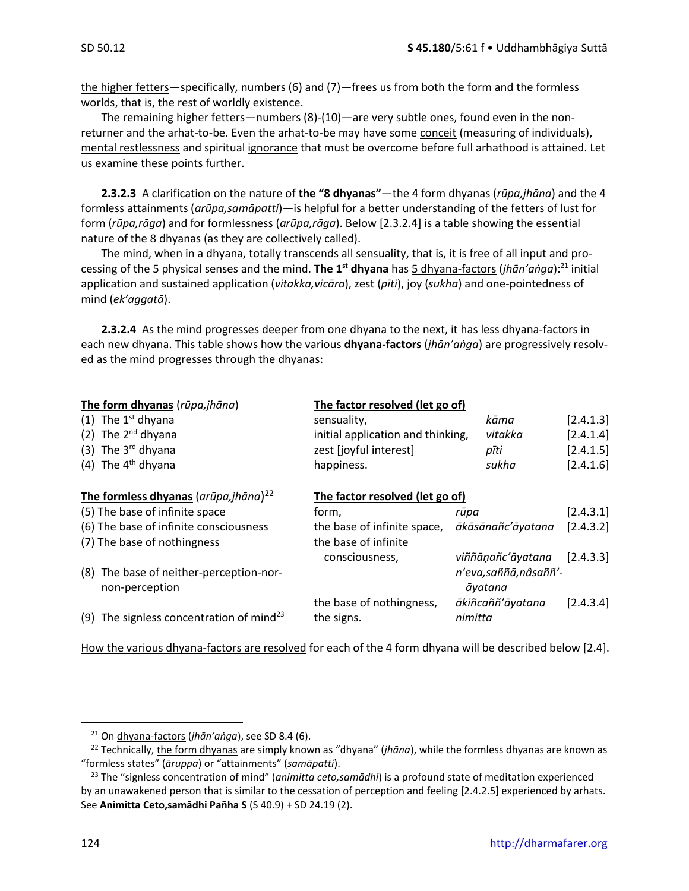the higher fetters—specifically, numbers (6) and (7)—frees us from both the form and the formless worlds, that is, the rest of worldly existence.

The remaining higher fetters—numbers (8)-(10)—are very subtle ones, found even in the nonreturner and the arhat-to-be. Even the arhat-to-be may have some conceit (measuring of individuals), mental restlessness and spiritual ignorance that must be overcome before full arhathood is attained. Let us examine these points further.

**2.3.2.3** A clarification on the nature of **the "8 dhyanas"**—the 4 form dhyanas (*rūpa,jhāna*) and the 4 formless attainments (*arūpa,samāpatti*)—is helpful for a better understanding of the fetters of lust for form (*rūpa,rāga*) and for formlessness (*arūpa,rāga*). Below [2.3.2.4] is a table showing the essential nature of the 8 dhyanas (as they are collectively called).

The mind, when in a dhyana, totally transcends all sensuality, that is, it is free of all input and processing of the 5 physical senses and the mind. **The 1st dhyana** has 5 dhyana-factors (*jhān'aṅga*):<sup>21</sup> initial application and sustained application (*vitakka,vicāra*), zest (*pīti*), joy (*sukha*) and one-pointedness of mind (*ek'aggatā*).

**2.3.2.4** As the mind progresses deeper from one dhyana to the next, it has less dhyana-factors in each new dhyana. This table shows how the various **dhyana-factors** (*jhān'aṅga*) are progressively resolved as the mind progresses through the dhyanas:

| sensuality,              |      | kāma                                                                                                    | [2.4.1.3]                                                                                                                                |
|--------------------------|------|---------------------------------------------------------------------------------------------------------|------------------------------------------------------------------------------------------------------------------------------------------|
|                          |      | vitakka                                                                                                 | [2.4.1.4]                                                                                                                                |
| zest [joyful interest]   |      | pīti                                                                                                    | [2.4.1.5]                                                                                                                                |
| happiness.               |      | sukha                                                                                                   | [2.4.1.6]                                                                                                                                |
|                          |      |                                                                                                         |                                                                                                                                          |
| form,                    | rūpa |                                                                                                         | [2.4.3.1]                                                                                                                                |
|                          |      |                                                                                                         | [2.4.3.2]                                                                                                                                |
| the base of infinite     |      |                                                                                                         |                                                                                                                                          |
| consciousness,           |      |                                                                                                         | [2.4.3.3]                                                                                                                                |
|                          |      |                                                                                                         |                                                                                                                                          |
|                          |      |                                                                                                         |                                                                                                                                          |
| the base of nothingness, |      |                                                                                                         | [2.4.3.4]                                                                                                                                |
| the signs.               |      |                                                                                                         |                                                                                                                                          |
|                          |      | The factor resolved (let go of)<br>initial application and thinking,<br>The factor resolved (let go of) | the base of infinite space, ākāsānañc'āyatana<br>viññāṇañc'āyatana<br>n'eva, saññā, nâ saññ' -<br>āyatana<br>ākiñcaññ'āyatana<br>nimitta |

How the various dhyana-factors are resolved for each of the 4 form dhyana will be described below [2.4].

<sup>21</sup> On dhyana-factors (*jhān'aṅga*), see SD 8.4 (6).

<sup>22</sup> Technically, the form dhyanas are simply known as "dhyana" (*jhāna*), while the formless dhyanas are known as "formless states" (*āruppa*) or "attainments" (*samāpatti*).

<sup>23</sup> The "signless concentration of mind" (*animitta ceto,samādhi*) is a profound state of meditation experienced by an unawakened person that is similar to the cessation of perception and feeling [2.4.2.5] experienced by arhats. See **Animitta Ceto,samādhi Pañha S** (S 40.9) + SD 24.19 (2).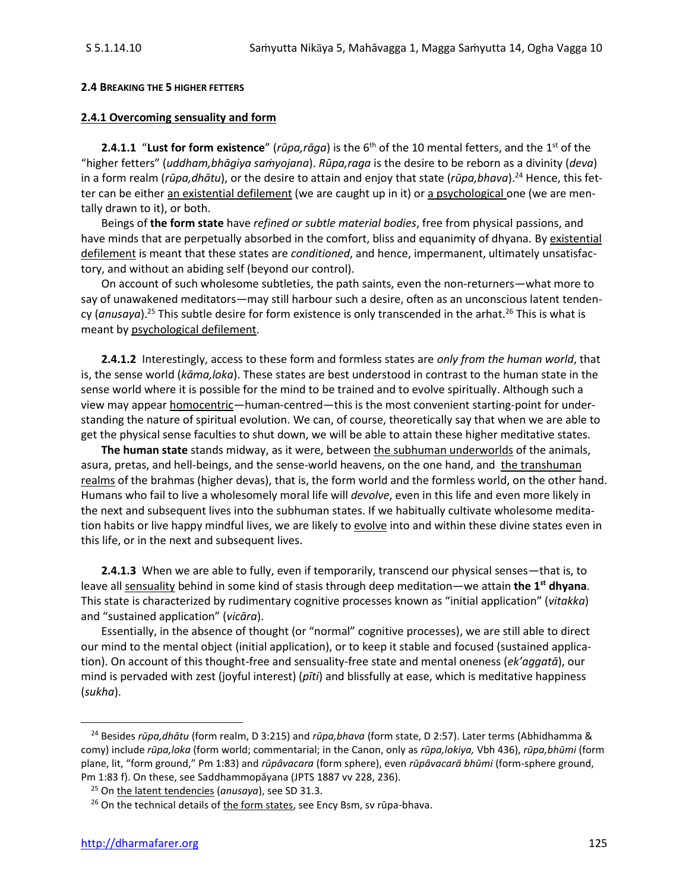#### **2.4 BREAKING THE 5 HIGHER FETTERS**

#### **2.4.1 Overcoming sensuality and form**

**2.4.1.1** "Lust for form existence" (*rūpa,rāga*) is the 6<sup>th</sup> of the 10 mental fetters, and the 1<sup>st</sup> of the "higher fetters" (*uddham,bhāgiya saṁyojana*). *Rūpa,raga* is the desire to be reborn as a divinity (*deva*) in a form realm (*rūpa,dhātu*), or the desire to attain and enjoy that state (*rūpa,bhava*).<sup>24</sup> Hence, this fetter can be either an existential defilement (we are caught up in it) or a psychological one (we are mentally drawn to it), or both.

Beings of **the form state** have *refined or subtle material bodies*, free from physical passions, and have minds that are perpetually absorbed in the comfort, bliss and equanimity of dhyana. By existential defilement is meant that these states are *conditioned*, and hence, impermanent, ultimately unsatisfactory, and without an abiding self (beyond our control).

On account of such wholesome subtleties, the path saints, even the non-returners—what more to say of unawakened meditators—may still harbour such a desire, often as an unconscious latent tendency (*anusaya*).<sup>25</sup> This subtle desire for form existence is only transcended in the arhat.<sup>26</sup> This is what is meant by psychological defilement.

**2.4.1.2** Interestingly, access to these form and formless states are *only from the human world*, that is, the sense world (*kāma,loka*). These states are best understood in contrast to the human state in the sense world where it is possible for the mind to be trained and to evolve spiritually. Although such a view may appear homocentric—human-centred—this is the most convenient starting-point for understanding the nature of spiritual evolution. We can, of course, theoretically say that when we are able to get the physical sense faculties to shut down, we will be able to attain these higher meditative states.

**The human state** stands midway, as it were, between the subhuman underworlds of the animals, asura, pretas, and hell-beings, and the sense-world heavens, on the one hand, and the transhuman realms of the brahmas (higher devas), that is, the form world and the formless world, on the other hand. Humans who fail to live a wholesomely moral life will *devolve*, even in this life and even more likely in the next and subsequent lives into the subhuman states. If we habitually cultivate wholesome meditation habits or live happy mindful lives, we are likely to evolve into and within these divine states even in this life, or in the next and subsequent lives.

**2.4.1.3** When we are able to fully, even if temporarily, transcend our physical senses—that is, to leave all sensuality behind in some kind of stasis through deep meditation—we attain **the 1st dhyana**. This state is characterized by rudimentary cognitive processes known as "initial application" (*vitakka*) and "sustained application" (*vicāra*).

Essentially, in the absence of thought (or "normal" cognitive processes), we are still able to direct our mind to the mental object (initial application), or to keep it stable and focused (sustained application). On account of this thought-free and sensuality-free state and mental oneness (*ek'aggatā*), our mind is pervaded with zest (joyful interest) (*pīti*) and blissfully at ease, which is meditative happiness (*sukha*).

<sup>24</sup> Besides *rūpa,dhātu* (form realm, D 3:215) and *rūpa,bhava* (form state, D 2:57). Later terms (Abhidhamma & comy) include *rūpa,loka* (form world; commentarial; in the Canon, only as *rūpa,lokiya,* Vbh 436), *rūpa,bhūmi* (form plane, lit, "form ground," Pm 1:83) and *rūpâvacara* (form sphere), even *rūpâvacarā bhūmi* (form-sphere ground, Pm 1:83 f). On these, see Saddhammopāyana (JPTS 1887 vv 228, 236).

<sup>25</sup> On the latent tendencies (*anusaya*), see SD 31.3.

 $26$  On the technical details of the form states, see Ency Bsm, sv rūpa-bhava.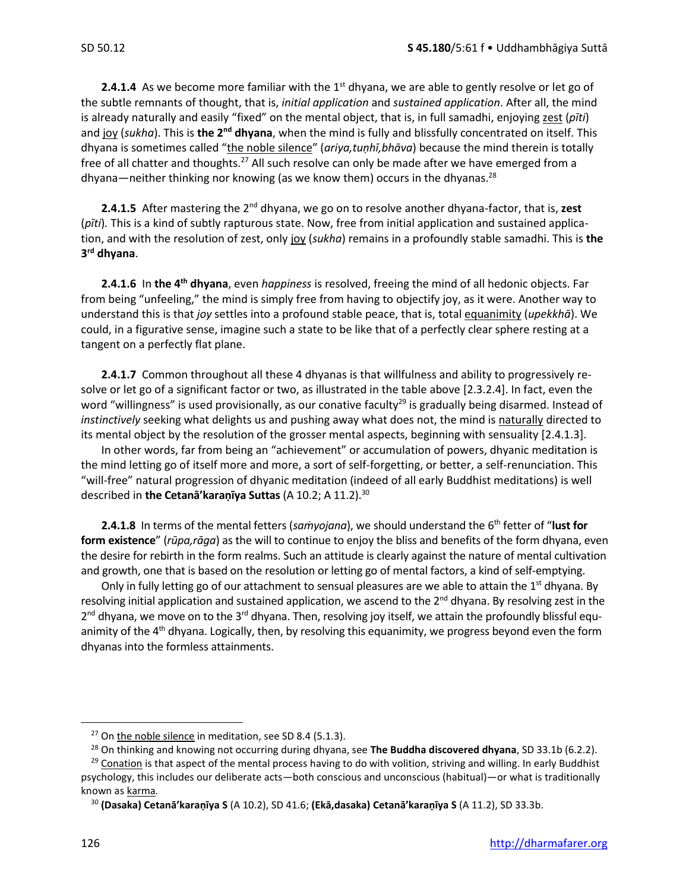**2.4.1.4** As we become more familiar with the 1<sup>st</sup> dhyana, we are able to gently resolve or let go of the subtle remnants of thought, that is, *initial application* and *sustained application*. After all, the mind is already naturally and easily "fixed" on the mental object, that is, in full samadhi, enjoying zest (*pīti*) and joy (*sukha*). This is **the 2<sup>nd</sup> dhyana**, when the mind is fully and blissfully concentrated on itself. This dhyana is sometimes called "the noble silence" (*ariya,tuṇhī,bhāva*) because the mind therein is totally free of all chatter and thoughts.<sup>27</sup> All such resolve can only be made after we have emerged from a dhyana—neither thinking nor knowing (as we know them) occurs in the dhyanas.<sup>28</sup>

**2.4.1.5** After mastering the 2nd dhyana, we go on to resolve another dhyana-factor, that is, **zest** (*pīti*)*.* This is a kind of subtly rapturous state. Now, free from initial application and sustained application, and with the resolution of zest, only joy (*sukha*) remains in a profoundly stable samadhi. This is **the 3 rd dhyana**.

**2.4.1.6** In **the 4th dhyana**, even *happiness* is resolved, freeing the mind of all hedonic objects. Far from being "unfeeling," the mind is simply free from having to objectify joy, as it were. Another way to understand this is that *joy* settles into a profound stable peace, that is, total equanimity (*upekkhā*). We could, in a figurative sense, imagine such a state to be like that of a perfectly clear sphere resting at a tangent on a perfectly flat plane.

**2.4.1.7** Common throughout all these 4 dhyanas is that willfulness and ability to progressively resolve or let go of a significant factor or two, as illustrated in the table above [2.3.2.4]. In fact, even the word "willingness" is used provisionally, as our conative faculty<sup>29</sup> is gradually being disarmed. Instead of *instinctively* seeking what delights us and pushing away what does not, the mind is naturally directed to its mental object by the resolution of the grosser mental aspects, beginning with sensuality [2.4.1.3].

In other words, far from being an "achievement" or accumulation of powers, dhyanic meditation is the mind letting go of itself more and more, a sort of self-forgetting, or better, a self-renunciation. This "will-free" natural progression of dhyanic meditation (indeed of all early Buddhist meditations) is well described in **the Cetanā'karaṇīya Suttas** (A 10.2; A 11.2).<sup>30</sup>

**2.4.1.8** In terms of the mental fetters (*saṁyojana*), we should understand the 6 th fetter of "**lust for form existence**" (*rūpa,rāga*) as the will to continue to enjoy the bliss and benefits of the form dhyana, even the desire for rebirth in the form realms. Such an attitude is clearly against the nature of mental cultivation and growth, one that is based on the resolution or letting go of mental factors, a kind of self-emptying.

Only in fully letting go of our attachment to sensual pleasures are we able to attain the  $1<sup>st</sup>$  dhyana. By resolving initial application and sustained application, we ascend to the  $2<sup>nd</sup>$  dhyana. By resolving zest in the 2<sup>nd</sup> dhyana, we move on to the 3<sup>rd</sup> dhyana. Then, resolving joy itself, we attain the profoundly blissful equanimity of the 4<sup>th</sup> dhyana. Logically, then, by resolving this equanimity, we progress beyond even the form dhyanas into the formless attainments.

 $27$  On the noble silence in meditation, see SD 8.4 (5.1.3).

<sup>28</sup> On thinking and knowing not occurring during dhyana, see **The Buddha discovered dhyana**, SD 33.1b (6.2.2).

 $29$  Conation is that aspect of the mental process having to do with volition, striving and willing. In early Buddhist psychology, this includes our deliberate acts—both conscious and unconscious (habitual)—or what is traditionally known as karma*.*

<sup>30</sup> **(Dasaka) Cetanā'karaṇīya S** (A 10.2), SD 41.6; **(Ekā,dasaka) Cetanā'karaṇīya S** (A 11.2), SD 33.3b.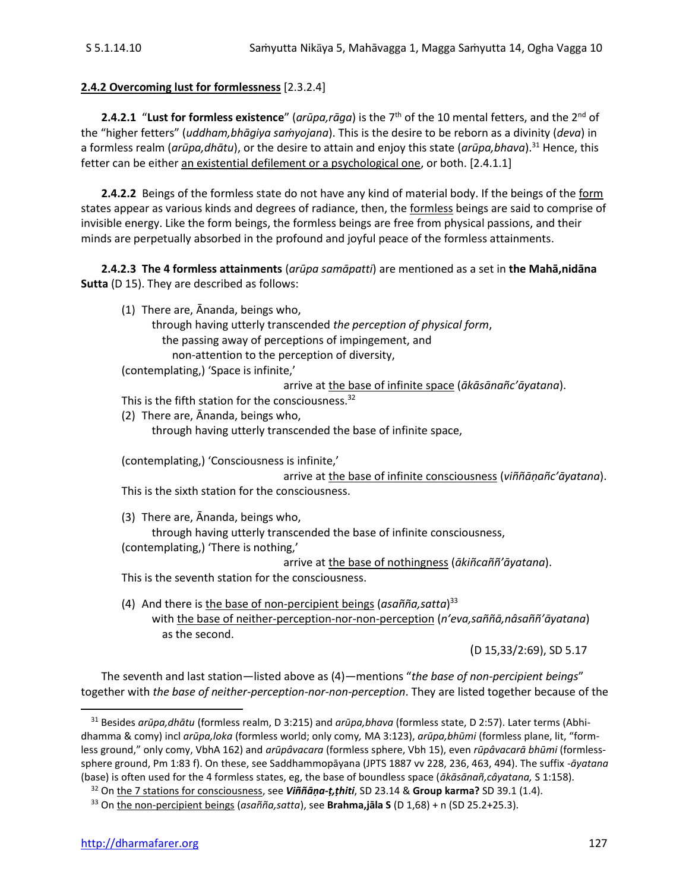## **2.4.2 Overcoming lust for formlessness** [2.3.2.4]

**2.4.2.1** "Lust for formless existence" (*arūpa,rāga*) is the 7<sup>th</sup> of the 10 mental fetters, and the 2<sup>nd</sup> of the "higher fetters" (*uddham,bhāgiya saṁyojana*). This is the desire to be reborn as a divinity (*deva*) in a formless realm (*arūpa,dhātu*), or the desire to attain and enjoy this state (*arūpa,bhava*).<sup>31</sup> Hence, this fetter can be either an existential defilement or a psychological one, or both. [2.4.1.1]

**2.4.2.2** Beings of the formless state do not have any kind of material body. If the beings of the form states appear as various kinds and degrees of radiance, then, the formless beings are said to comprise of invisible energy. Like the form beings, the formless beings are free from physical passions, and their minds are perpetually absorbed in the profound and joyful peace of the formless attainments.

**2.4.2.3 The 4 formless attainments** (*arūpa samāpatti*) are mentioned as a set in **the Mahā,nidāna Sutta** (D 15). They are described as follows:

(1) There are, Ānanda, beings who,

through having utterly transcended *the perception of physical form*, the passing away of perceptions of impingement, and non-attention to the perception of diversity,

(contemplating,) 'Space is infinite,'

arrive at the base of infinite space (*ākāsānañc'āyatana*).

This is the fifth station for the consciousness. $32$ 

(2) There are, Ānanda, beings who,

through having utterly transcended the base of infinite space,

(contemplating,) 'Consciousness is infinite,'

arrive at the base of infinite consciousness (*viññāṇañc'āyatana*). This is the sixth station for the consciousness.

(3) There are, Ānanda, beings who,

through having utterly transcended the base of infinite consciousness, (contemplating,) 'There is nothing,'

arrive at the base of nothingness (*ākiñcaññ'āyatana*).

This is the seventh station for the consciousness.

(4) And there is the base of non-percipient beings (*asañña,satta*) 33 with the base of neither-perception-nor-non-perception (*n'eva,saññā,nâsaññ'āyatana*) as the second.

(D 15,33/2:69), SD 5.17

The seventh and last station—listed above as (4)—mentions "*the base of non-percipient beings*" together with *the base of neither-perception-nor-non-perception*. They are listed together because of the

<sup>32</sup> On the 7 stations for consciousness, see *Viññāṇa-ṭ,ṭhiti*, SD 23.14 & **Group karma?** SD 39.1 (1.4).

<sup>31</sup> Besides *arūpa,dhātu* (formless realm, D 3:215) and *arūpa,bhava* (formless state, D 2:57). Later terms (Abhidhamma & comy) incl *arūpa,loka* (formless world; only comy*,* MA 3:123), *arūpa,bhūmi* (formless plane, lit, "formless ground," only comy, VbhA 162) and *arūpâvacara* (formless sphere, Vbh 15), even *rūpâvacarā bhūmi* (formlesssphere ground, Pm 1:83 f). On these, see Saddhammopāyana (JPTS 1887 vv 228, 236, 463, 494). The suffix -*āyatana* (base) is often used for the 4 formless states, eg, the base of boundless space (*ākāsānañ,câyatana,* S 1:158).

<sup>33</sup> On the non-percipient beings (*asañña,satta*), see **Brahma,jāla S** (D 1,68) + n (SD 25.2+25.3).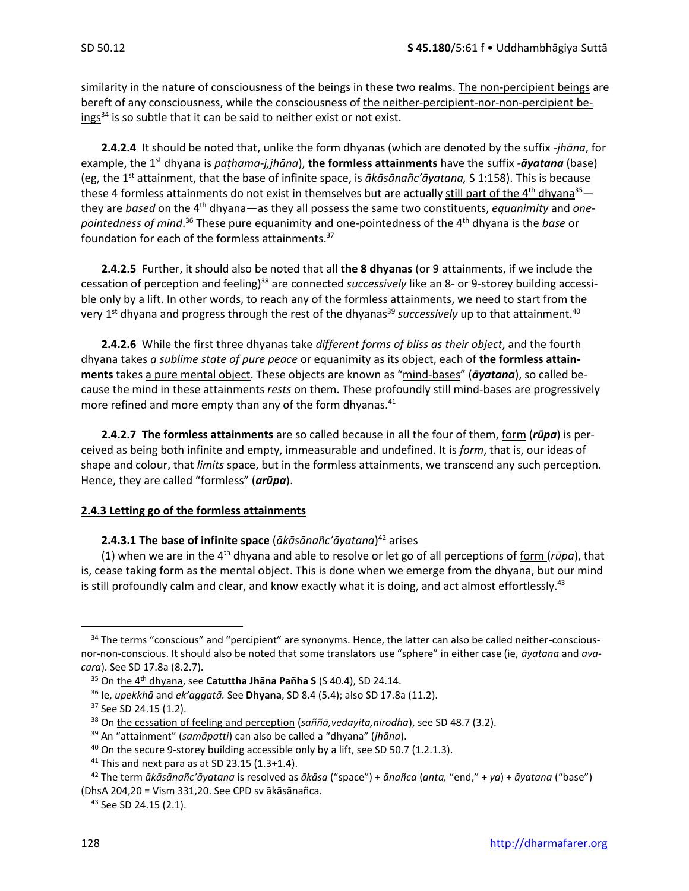similarity in the nature of consciousness of the beings in these two realms. The non-percipient beings are bereft of any consciousness, while the consciousness of the neither-percipient-nor-non-percipient beings<sup>34</sup> is so subtle that it can be said to neither exist or not exist.

**2.4.2.4** It should be noted that, unlike the form dhyanas (which are denoted by the suffix *-jhāna*, for example, the 1st dhyana is *paṭhama-j,jhāna*), **the formless attainments** have the suffix -*āyatana* (base) (eg, the 1st attainment, that the base of infinite space, is *ākāsānañc'āyatana,* S 1:158). This is because these 4 formless attainments do not exist in themselves but are actually still part of the 4<sup>th</sup> dhyana<sup>35</sup> they are *based* on the 4th dhyana—as they all possess the same two constituents, *equanimity* and *onepointedness of mind*. <sup>36</sup> These pure equanimity and one-pointedness of the 4th dhyana is the *base* or foundation for each of the formless attainments.<sup>37</sup>

**2.4.2.5** Further, it should also be noted that all **the 8 dhyanas** (or 9 attainments, if we include the cessation of perception and feeling)<sup>38</sup> are connected *successively* like an 8- or 9-storey building accessible only by a lift. In other words, to reach any of the formless attainments, we need to start from the very 1<sup>st</sup> dhyana and progress through the rest of the dhyanas<sup>39</sup> s*uccessively* up to that attainment.<sup>40</sup>

**2.4.2.6** While the first three dhyanas take *different forms of bliss as their object*, and the fourth dhyana takes *a sublime state of pure peace* or equanimity as its object, each of **the formless attainments** takes a pure mental object. These objects are known as "mind-bases" (*āyatana*), so called because the mind in these attainments *rests* on them. These profoundly still mind-bases are progressively more refined and more empty than any of the form dhyanas.<sup>41</sup>

**2.4.2.7 The formless attainments** are so called because in all the four of them, form (*rūpa*) is perceived as being both infinite and empty, immeasurable and undefined. It is *form*, that is, our ideas of shape and colour, that *limits* space, but in the formless attainments, we transcend any such perception. Hence, they are called "formless" (*arūpa*).

## **2.4.3 Letting go of the formless attainments**

#### **2.4.3.1** T**he base of infinite space** (*ākāsānañc'āyatana*) <sup>42</sup> arises

(1) when we are in the 4<sup>th</sup> dhyana and able to resolve or let go of all perceptions of form ( $rūpq$ ), that is, cease taking form as the mental object. This is done when we emerge from the dhyana, but our mind is still profoundly calm and clear, and know exactly what it is doing, and act almost effortlessly.<sup>43</sup>

<sup>&</sup>lt;sup>34</sup> The terms "conscious" and "percipient" are synonyms. Hence, the latter can also be called neither-consciousnor-non-conscious. It should also be noted that some translators use "sphere" in either case (ie, *āyatana* and *avacara*). See SD 17.8a (8.2.7).

<sup>35</sup> On the 4th dhyana, see **Catuttha Jhāna Pañha S** (S 40.4), SD 24.14.

<sup>36</sup> Ie, *upekkhā* and *ek'aggatā.* See **Dhyana**, SD 8.4 (5.4); also SD 17.8a (11.2).

<sup>&</sup>lt;sup>37</sup> See SD 24.15 (1.2).

<sup>38</sup> On the cessation of feeling and perception (*saññā,vedayita,nirodha*), see SD 48.7 (3.2).

<sup>39</sup> An "attainment" (*samāpatti*) can also be called a "dhyana" (*jhāna*).

 $40$  On the secure 9-storey building accessible only by a lift, see SD 50.7 (1.2.1.3).

 $41$  This and next para as at SD 23.15 (1.3+1.4).

<sup>42</sup> The term *ākāsānañc'āyatana* is resolved as *ākāsa* ("space") + *ānañca* (*anta,* "end," + *ya*) + *āyatana* ("base") (DhsA 204,20 = Vism 331,20. See CPD sv ākāsānañca.

<sup>43</sup> See SD 24.15 (2.1).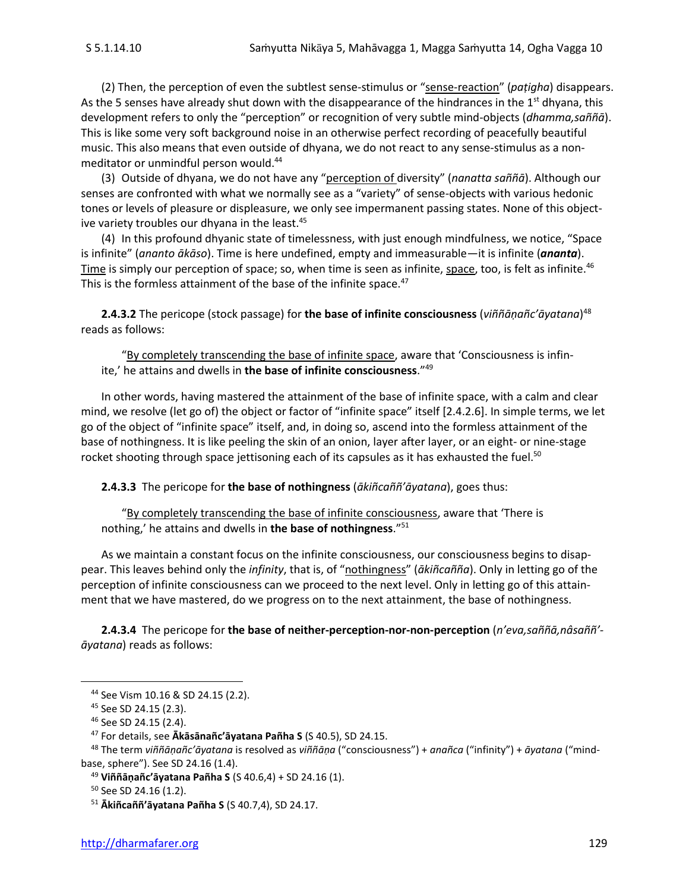(2) Then, the perception of even the subtlest sense-stimulus or "sense-reaction" (*paṭigha*) disappears. As the 5 senses have already shut down with the disappearance of the hindrances in the  $1<sup>st</sup>$  dhyana, this development refers to only the "perception" or recognition of very subtle mind-objects (*dhamma,saññā*). This is like some very soft background noise in an otherwise perfect recording of peacefully beautiful music. This also means that even outside of dhyana, we do not react to any sense-stimulus as a nonmeditator or unmindful person would. 44

(3) Outside of dhyana, we do not have any "perception of diversity" (*nanatta saññā*). Although our senses are confronted with what we normally see as a "variety" of sense-objects with various hedonic tones or levels of pleasure or displeasure, we only see impermanent passing states. None of this objective variety troubles our dhyana in the least.<sup>45</sup>

(4) In this profound dhyanic state of timelessness, with just enough mindfulness, we notice, "Space is infinite" (*ananto ākāso*). Time is here undefined, empty and immeasurable—it is infinite (*ananta*). Time is simply our perception of space; so, when time is seen as infinite, space, too, is felt as infinite.<sup>46</sup> This is the formless attainment of the base of the infinite space.<sup>47</sup>

**2.4.3.2** The pericope (stock passage) for **the base of infinite consciousness** (*viññāṇañc'āyatana*) 48 reads as follows:

"By completely transcending the base of infinite space, aware that 'Consciousness is infinite,' he attains and dwells in **the base of infinite consciousness**."<sup>49</sup>

In other words, having mastered the attainment of the base of infinite space, with a calm and clear mind, we resolve (let go of) the object or factor of "infinite space" itself [2.4.2.6]. In simple terms, we let go of the object of "infinite space" itself, and, in doing so, ascend into the formless attainment of the base of nothingness. It is like peeling the skin of an onion, layer after layer, or an eight- or nine-stage rocket shooting through space jettisoning each of its capsules as it has exhausted the fuel.<sup>50</sup>

**2.4.3.3** The pericope for **the base of nothingness** (*ākiñcaññ'āyatana*), goes thus:

"By completely transcending the base of infinite consciousness, aware that 'There is nothing,' he attains and dwells in **the base of nothingness**."<sup>51</sup>

As we maintain a constant focus on the infinite consciousness, our consciousness begins to disappear. This leaves behind only the *infinity*, that is, of "nothingness" (*ākiñcañña*). Only in letting go of the perception of infinite consciousness can we proceed to the next level. Only in letting go of this attainment that we have mastered, do we progress on to the next attainment, the base of nothingness.

**2.4.3.4** The pericope for **the base of neither-perception-nor-non-perception** (*n'eva,saññā,nâsaññ' āyatana*) reads as follows:

<sup>44</sup> See Vism 10.16 & SD 24.15 (2.2).

<sup>45</sup> See SD 24.15 (2.3).

<sup>46</sup> See SD 24.15 (2.4).

<sup>47</sup> For details, see **Ākāsānañc'āyatana Pañha S** (S 40.5), SD 24.15.

<sup>48</sup> The term *viññāṇañc'āyatana* is resolved as *viññāṇa* ("consciousness") + *anañca* ("infinity") + *āyatana* ("mindbase, sphere"). See SD 24.16 (1.4).

<sup>49</sup> **Viññāṇañc'āyatana Pañha S** (S 40.6,4) + SD 24.16 (1).

<sup>50</sup> See SD 24.16 (1.2).

<sup>51</sup> **Ākiñcaññ'āyatana Pañha S** (S 40.7,4), SD 24.17.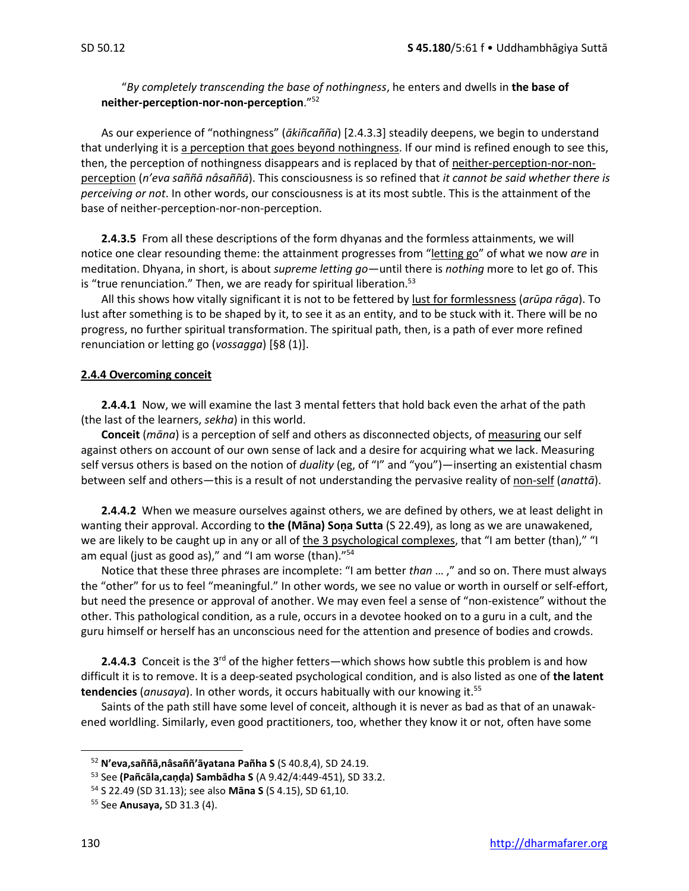"*By completely transcending the base of nothingness*, he enters and dwells in **the base of neither-perception-nor-non-perception**."<sup>52</sup>

As our experience of "nothingness" (*ākiñcañña*) [2.4.3.3] steadily deepens, we begin to understand that underlying it is a perception that goes beyond nothingness. If our mind is refined enough to see this, then, the perception of nothingness disappears and is replaced by that of neither-perception-nor-nonperception (*n'eva saññā nâsaññā*). This consciousness is so refined that *it cannot be said whether there is perceiving or not*. In other words, our consciousness is at its most subtle. This is the attainment of the base of neither-perception-nor-non-perception.

**2.4.3.5** From all these descriptions of the form dhyanas and the formless attainments, we will notice one clear resounding theme: the attainment progresses from "letting go" of what we now *are* in meditation. Dhyana, in short, is about *supreme letting go*—until there is *nothing* more to let go of. This is "true renunciation." Then, we are ready for spiritual liberation.<sup>53</sup>

All this shows how vitally significant it is not to be fettered by lust for formlessness (*arūpa rāga*). To lust after something is to be shaped by it, to see it as an entity, and to be stuck with it. There will be no progress, no further spiritual transformation. The spiritual path, then, is a path of ever more refined renunciation or letting go (*vossagga*) [§8 (1)].

#### **2.4.4 Overcoming conceit**

**2.4.4.1** Now, we will examine the last 3 mental fetters that hold back even the arhat of the path (the last of the learners, *sekha*) in this world.

**Conceit** (*māna*) is a perception of self and others as disconnected objects, of measuring our self against others on account of our own sense of lack and a desire for acquiring what we lack. Measuring self versus others is based on the notion of *duality* (eg, of "I" and "you")—inserting an existential chasm between self and others—this is a result of not understanding the pervasive reality of non-self (*anattā*).

**2.4.4.2** When we measure ourselves against others, we are defined by others, we at least delight in wanting their approval. According to **the (Māna) Soṇa Sutta** (S 22.49), as long as we are unawakened, we are likely to be caught up in any or all of the 3 psychological complexes, that "I am better (than)," "I am equal (just as good as)," and "I am worse (than)."<sup>54</sup>

Notice that these three phrases are incomplete: "I am better *than* … ," and so on. There must always the "other" for us to feel "meaningful." In other words, we see no value or worth in ourself or self-effort, but need the presence or approval of another. We may even feel a sense of "non-existence" without the other. This pathological condition, as a rule, occurs in a devotee hooked on to a guru in a cult, and the guru himself or herself has an unconscious need for the attention and presence of bodies and crowds.

**2.4.4.3** Conceit is the 3<sup>rd</sup> of the higher fetters—which shows how subtle this problem is and how difficult it is to remove. It is a deep-seated psychological condition, and is also listed as one of **the latent tendencies** (*anusaya*). In other words, it occurs habitually with our knowing it.<sup>55</sup>

Saints of the path still have some level of conceit, although it is never as bad as that of an unawakened worldling. Similarly, even good practitioners, too, whether they know it or not, often have some

<sup>52</sup> **N'eva,saññā,nâsaññ'āyatana Pañha S** (S 40.8,4), SD 24.19.

<sup>53</sup> See **(Pañcāla,caṇḍa) Sambādha S** (A 9.42/4:449-451), SD 33.2.

<sup>54</sup> S 22.49 (SD 31.13); see also **Māna S** (S 4.15), SD 61,10.

<sup>55</sup> See **Anusaya,** SD 31.3 (4).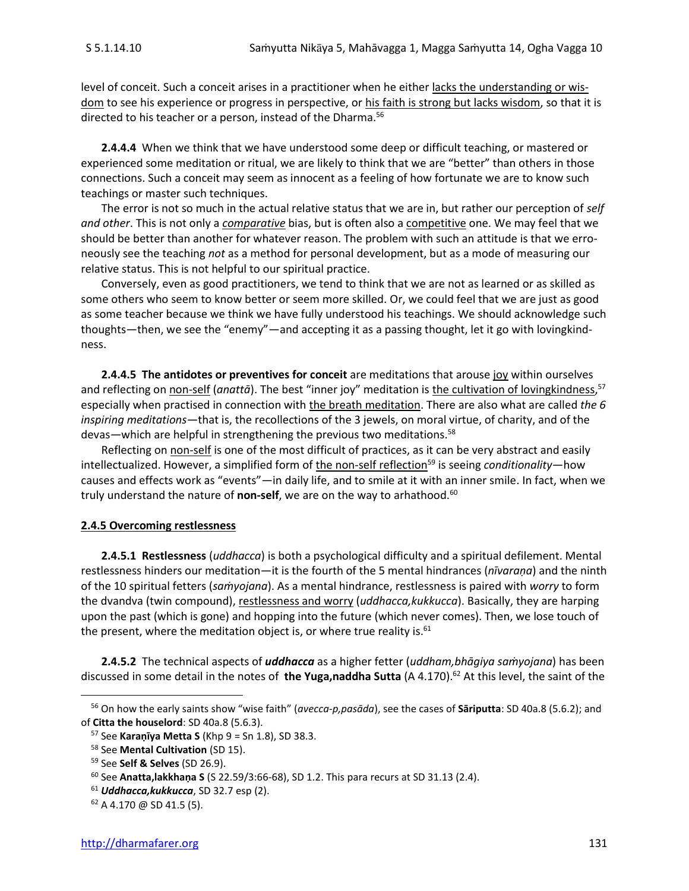level of conceit. Such a conceit arises in a practitioner when he either lacks the understanding or wisdom to see his experience or progress in perspective, or his faith is strong but lacks wisdom, so that it is directed to his teacher or a person, instead of the Dharma.<sup>56</sup>

**2.4.4.4** When we think that we have understood some deep or difficult teaching, or mastered or experienced some meditation or ritual, we are likely to think that we are "better" than others in those connections. Such a conceit may seem as innocent as a feeling of how fortunate we are to know such teachings or master such techniques.

The error is not so much in the actual relative status that we are in, but rather our perception of *self and other*. This is not only a *comparative* bias, but is often also a competitive one. We may feel that we should be better than another for whatever reason. The problem with such an attitude is that we erroneously see the teaching *not* as a method for personal development, but as a mode of measuring our relative status. This is not helpful to our spiritual practice.

Conversely, even as good practitioners, we tend to think that we are not as learned or as skilled as some others who seem to know better or seem more skilled. Or, we could feel that we are just as good as some teacher because we think we have fully understood his teachings. We should acknowledge such thoughts—then, we see the "enemy"—and accepting it as a passing thought, let it go with lovingkindness.

**2.4.4.5 The antidotes or preventives for conceit** are meditations that arouse joy within ourselves and reflecting on <u>non-self</u> (anattā). The best "inner joy" meditation is <u>the cultivation of lovingkindness</u>, 57 especially when practised in connection with the breath meditation. There are also what are called *the 6 inspiring meditations*—that is, the recollections of the 3 jewels, on moral virtue, of charity, and of the devas—which are helpful in strengthening the previous two meditations.<sup>58</sup>

Reflecting on non-self is one of the most difficult of practices, as it can be very abstract and easily intellectualized. However, a simplified form of the non-self reflection<sup>59</sup> is seeing *conditionality*—how causes and effects work as "events"—in daily life, and to smile at it with an inner smile. In fact, when we truly understand the nature of **non-self**, we are on the way to arhathood.<sup>60</sup>

#### **2.4.5 Overcoming restlessness**

**2.4.5.1 Restlessness** (*uddhacca*) is both a psychological difficulty and a spiritual defilement. Mental restlessness hinders our meditation—it is the fourth of the 5 mental hindrances (*nīvaraṇa*) and the ninth of the 10 spiritual fetters (*saṁyojana*). As a mental hindrance, restlessness is paired with *worry* to form the dvandva (twin compound), restlessness and worry (*uddhacca,kukkucca*). Basically, they are harping upon the past (which is gone) and hopping into the future (which never comes). Then, we lose touch of the present, where the meditation object is, or where true reality is.<sup>61</sup>

**2.4.5.2** The technical aspects of *uddhacca* as a higher fetter (*uddham,bhāgiya saṁyojana*) has been discussed in some detail in the notes of the Yuga,naddha Sutta (A 4.170).<sup>62</sup> At this level, the saint of the

<sup>56</sup> On how the early saints show "wise faith" (*avecca-p,pasāda*), see the cases of **Sāriputta**: SD 40a.8 (5.6.2); and of **Citta the houselord**: SD 40a.8 (5.6.3).

<sup>57</sup> See **Karaṇīya Metta S** (Khp 9 = Sn 1.8), SD 38.3.

<sup>58</sup> See **Mental Cultivation** (SD 15).

<sup>59</sup> See **Self & Selves** (SD 26.9).

<sup>60</sup> See **Anatta,lakkhaṇa S** (S 22.59/3:66-68), SD 1.2. This para recurs at SD 31.13 (2.4).

<sup>61</sup> *Uddhacca,kukkucca*, SD 32.7 esp (2).

 $62$  A 4.170 @ SD 41.5 (5).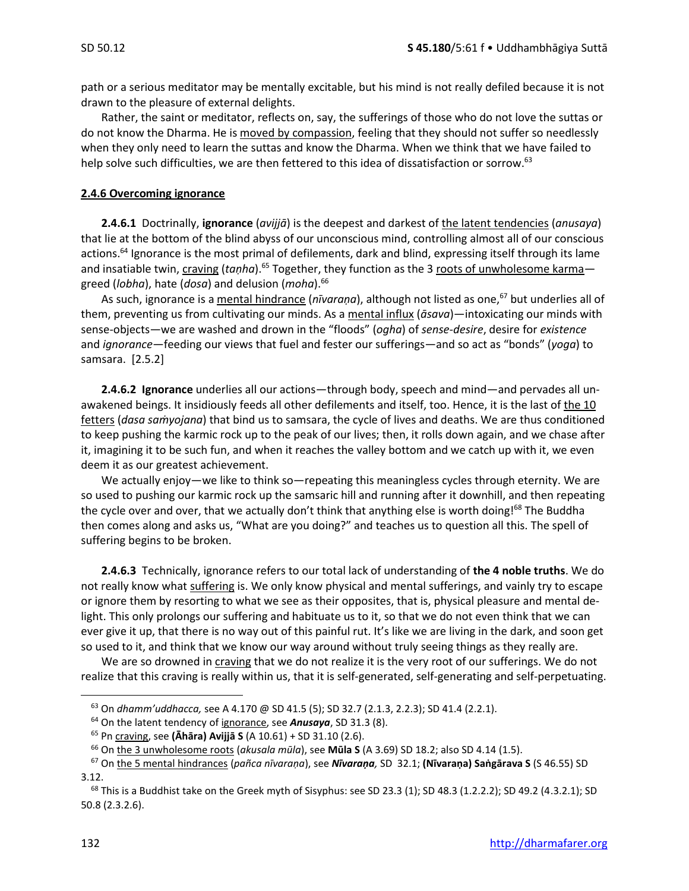path or a serious meditator may be mentally excitable, but his mind is not really defiled because it is not drawn to the pleasure of external delights.

Rather, the saint or meditator, reflects on, say, the sufferings of those who do not love the suttas or do not know the Dharma. He is moved by compassion, feeling that they should not suffer so needlessly when they only need to learn the suttas and know the Dharma. When we think that we have failed to help solve such difficulties, we are then fettered to this idea of dissatisfaction or sorrow.<sup>63</sup>

#### **2.4.6 Overcoming ignorance**

**2.4.6.1** Doctrinally, **ignorance** (*avijjā*) is the deepest and darkest of the latent tendencies (*anusaya*) that lie at the bottom of the blind abyss of our unconscious mind, controlling almost all of our conscious actions.<sup>64</sup> Ignorance is the most primal of defilements, dark and blind, expressing itself through its lame and insatiable twin, craving (*taṇha*).<sup>65</sup> Together, they function as the 3 roots of unwholesome karma greed (*lobha*), hate (*dosa*) and delusion (*moha*).<sup>66</sup>

As such, ignorance is a mental hindrance (*nīvaraṇa*), although not listed as one,<sup>67</sup> but underlies all of them, preventing us from cultivating our minds. As a mental influx (*āsava*)—intoxicating our minds with sense-objects—we are washed and drown in the "floods" (*ogha*) of *sense-desire*, desire for *existence* and *ignorance*—feeding our views that fuel and fester our sufferings—and so act as "bonds" (*yoga*) to samsara. [2.5.2]

**2.4.6.2 Ignorance** underlies all our actions—through body, speech and mind—and pervades all unawakened beings. It insidiously feeds all other defilements and itself, too. Hence, it is the last of the 10 fetters (*dasa saṁyojana*) that bind us to samsara, the cycle of lives and deaths. We are thus conditioned to keep pushing the karmic rock up to the peak of our lives; then, it rolls down again, and we chase after it, imagining it to be such fun, and when it reaches the valley bottom and we catch up with it, we even deem it as our greatest achievement.

We actually enjoy—we like to think so—repeating this meaningless cycles through eternity. We are so used to pushing our karmic rock up the samsaric hill and running after it downhill, and then repeating the cycle over and over, that we actually don't think that anything else is worth doing!<sup>68</sup> The Buddha then comes along and asks us, "What are you doing?" and teaches us to question all this. The spell of suffering begins to be broken.

**2.4.6.3** Technically, ignorance refers to our total lack of understanding of **the 4 noble truths**. We do not really know what suffering is. We only know physical and mental sufferings, and vainly try to escape or ignore them by resorting to what we see as their opposites, that is, physical pleasure and mental delight. This only prolongs our suffering and habituate us to it, so that we do not even think that we can ever give it up, that there is no way out of this painful rut. It's like we are living in the dark, and soon get so used to it, and think that we know our way around without truly seeing things as they really are.

We are so drowned in craving that we do not realize it is the very root of our sufferings. We do not realize that this craving is really within us, that it is self-generated, self-generating and self-perpetuating.

<sup>63</sup> On *dhamm'uddhacca,* see A 4.170 @ SD 41.5 (5); SD 32.7 (2.1.3, 2.2.3); SD 41.4 (2.2.1).

<sup>64</sup> On the latent tendency of ignorance, see *Anusaya*, SD 31.3 (8).

<sup>65</sup> Pn craving, see **(Āhāra) Avijjā S** (A 10.61) + SD 31.10 (2.6).

<sup>66</sup> On the 3 unwholesome roots (*akusala mūla*), see **Mūla S** (A 3.69) SD 18.2; also SD 4.14 (1.5).

<sup>67</sup> On the 5 mental hindrances (*pañca nīvaraṇa*), see *Nīvaraṇa,* SD 32.1; **(Nīvaraṇa) Saṅgārava S** (S 46.55) SD 3.12.

 $68$  This is a Buddhist take on the Greek myth of Sisyphus: see SD 23.3 (1); SD 48.3 (1.2.2.2); SD 49.2 (4.3.2.1); SD 50.8 (2.3.2.6).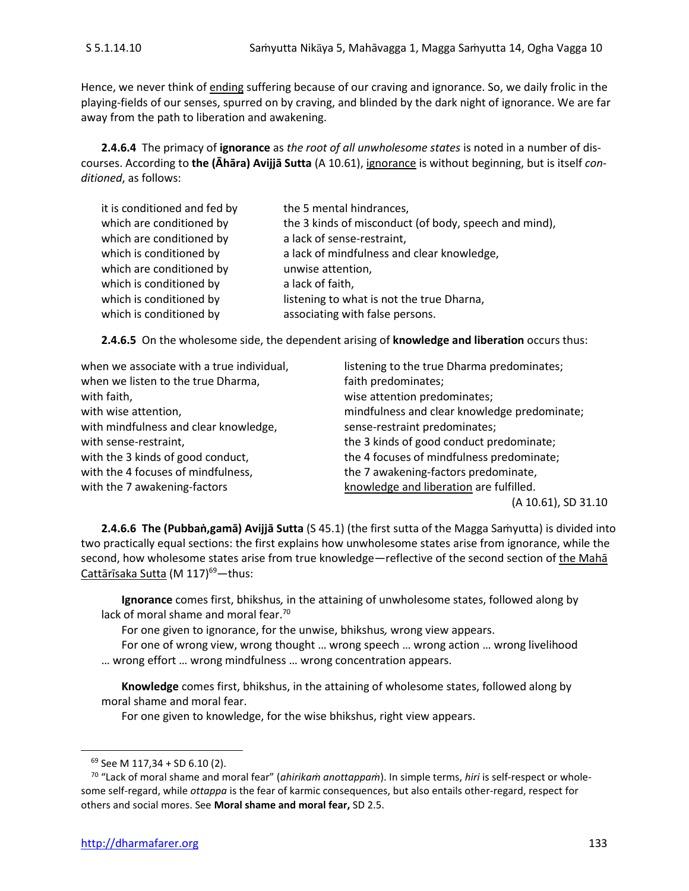Hence, we never think of ending suffering because of our craving and ignorance. So, we daily frolic in the playing-fields of our senses, spurred on by craving, and blinded by the dark night of ignorance. We are far away from the path to liberation and awakening.

**2.4.6.4** The primacy of **ignorance** as *the root of all unwholesome states* is noted in a number of discourses. According to **the (Āhāra) Avijjā Sutta** (A 10.61), ignorance is without beginning, but is itself *conditioned*, as follows:

| it is conditioned and fed by | the 5 mental hindrances,                              |
|------------------------------|-------------------------------------------------------|
| which are conditioned by     | the 3 kinds of misconduct (of body, speech and mind), |
| which are conditioned by     | a lack of sense-restraint,                            |
| which is conditioned by      | a lack of mindfulness and clear knowledge,            |
| which are conditioned by     | unwise attention,                                     |
| which is conditioned by      | a lack of faith,                                      |
| which is conditioned by      | listening to what is not the true Dharna,             |
| which is conditioned by      | associating with false persons.                       |

**2.4.6.5** On the wholesome side, the dependent arising of **knowledge and liberation** occurs thus:

| when we associate with a true individual, | listening to the true Dharma predominates;   |
|-------------------------------------------|----------------------------------------------|
| when we listen to the true Dharma,        | faith predominates;                          |
| with faith,                               | wise attention predominates;                 |
| with wise attention,                      | mindfulness and clear knowledge predominate; |
| with mindfulness and clear knowledge,     | sense-restraint predominates;                |
| with sense-restraint,                     | the 3 kinds of good conduct predominate;     |
| with the 3 kinds of good conduct,         | the 4 focuses of mindfulness predominate;    |
| with the 4 focuses of mindfulness,        | the 7 awakening-factors predominate,         |
| with the 7 awakening-factors              | knowledge and liberation are fulfilled.      |
|                                           | (A 10.61), SD 31.10                          |

**2.4.6.6 The (Pubbaṅ,gamā) Avijjā Sutta** (S 45.1) (the first sutta of the Magga Saṁyutta) is divided into two practically equal sections: the first explains how unwholesome states arise from ignorance, while the second, how wholesome states arise from true knowledge—reflective of the second section of the Maha Cattārīsaka Sutta (M 117)<sup>69</sup>—thus:

**Ignorance** comes first, bhikshus*,* in the attaining of unwholesome states, followed along by lack of moral shame and moral fear.<sup>70</sup>

For one given to ignorance, for the unwise, bhikshus*,* wrong view appears.

For one of wrong view, wrong thought … wrong speech … wrong action … wrong livelihood … wrong effort … wrong mindfulness … wrong concentration appears.

**Knowledge** comes first, bhikshus, in the attaining of wholesome states, followed along by moral shame and moral fear.

For one given to knowledge, for the wise bhikshus, right view appears.

<sup>69</sup> See M 117,34 + SD 6.10 (2).

<sup>70</sup> "Lack of moral shame and moral fear" (*ahirikaṁ anottappaṁ*). In simple terms, *hiri* is self-respect or wholesome self-regard, while *ottappa* is the fear of karmic consequences, but also entails other-regard, respect for others and social mores. See **Moral shame and moral fear,** SD 2.5.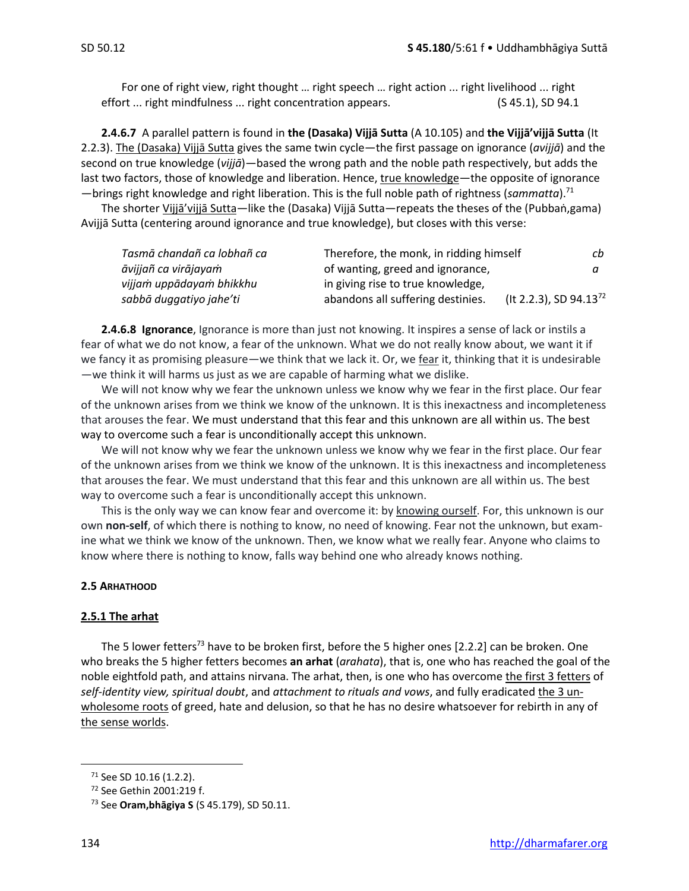For one of right view, right thought … right speech … right action ... right livelihood ... right effort ... right mindfulness ... right concentration appears. (S 45.1), SD 94.1

**2.4.6.7** A parallel pattern is found in **the (Dasaka) Vijjā Sutta** (A 10.105) and **the Vijjā'vijjā Sutta** (It 2.2.3). The (Dasaka) Vijjā Sutta gives the same twin cycle—the first passage on ignorance (*avijjā*) and the second on true knowledge (*vijjā*)—based the wrong path and the noble path respectively, but adds the last two factors, those of knowledge and liberation. Hence, true knowledge—the opposite of ignorance —brings right knowledge and right liberation. This is the full noble path of rightness (*sammatta*).<sup>71</sup>

The shorter Vijjā'vijjā Sutta—like the (Dasaka) Vijjā Sutta—repeats the theses of the (Pubbaṅ,gama) Avijjā Sutta (centering around ignorance and true knowledge), but closes with this verse:

| Tasmā chandañ ca lobhañ ca | Therefore, the monk, in ridding himself | cb                                 |
|----------------------------|-----------------------------------------|------------------------------------|
| āvijjañ ca virājayaṁ       | of wanting, greed and ignorance,        |                                    |
| vijjam uppādayam bhikkhu   | in giving rise to true knowledge,       |                                    |
| sabbā duggatiyo jahe'ti    | abandons all suffering destinies.       | (It 2.2.3), SD 94.13 <sup>72</sup> |

**2.4.6.8 Ignorance**, Ignorance is more than just not knowing. It inspires a sense of lack or instils a fear of what we do not know, a fear of the unknown. What we do not really know about, we want it if we fancy it as promising pleasure—we think that we lack it. Or, we fear it, thinking that it is undesirable —we think it will harms us just as we are capable of harming what we dislike.

We will not know why we fear the unknown unless we know why we fear in the first place. Our fear of the unknown arises from we think we know of the unknown. It is this inexactness and incompleteness that arouses the fear. We must understand that this fear and this unknown are all within us. The best way to overcome such a fear is unconditionally accept this unknown.

We will not know why we fear the unknown unless we know why we fear in the first place. Our fear of the unknown arises from we think we know of the unknown. It is this inexactness and incompleteness that arouses the fear. We must understand that this fear and this unknown are all within us. The best way to overcome such a fear is unconditionally accept this unknown.

This is the only way we can know fear and overcome it: by knowing ourself. For, this unknown is our own **non-self**, of which there is nothing to know, no need of knowing. Fear not the unknown, but examine what we think we know of the unknown. Then, we know what we really fear. Anyone who claims to know where there is nothing to know, falls way behind one who already knows nothing.

## **2.5 ARHATHOOD**

#### **2.5.1 The arhat**

The 5 lower fetters<sup>73</sup> have to be broken first, before the 5 higher ones [2.2.2] can be broken. One who breaks the 5 higher fetters becomes **an arhat** (*arahata*), that is, one who has reached the goal of the noble eightfold path, and attains nirvana. The arhat, then, is one who has overcome the first 3 fetters of *self-identity view, spiritual doubt*, and *attachment to rituals and vows*, and fully eradicated the 3 unwholesome roots of greed, hate and delusion, so that he has no desire whatsoever for rebirth in any of the sense worlds.

<sup>71</sup> See SD 10.16 (1.2.2).

<sup>72</sup> See Gethin 2001:219 f.

<sup>73</sup> See **Oram,bhāgiya S** (S 45.179), SD 50.11.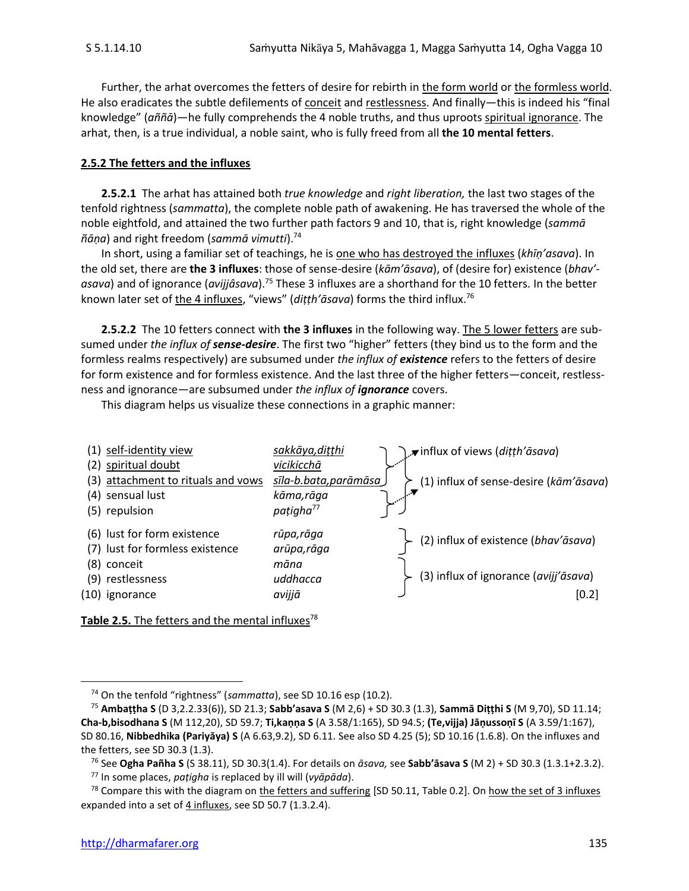Further, the arhat overcomes the fetters of desire for rebirth in the form world or the formless world. He also eradicates the subtle defilements of conceit and restlessness. And finally—this is indeed his "final knowledge" (*aññā*)—he fully comprehends the 4 noble truths, and thus uproots spiritual ignorance. The arhat, then, is a true individual, a noble saint, who is fully freed from all **the 10 mental fetters**.

#### **2.5.2 The fetters and the influxes**

**2.5.2.1** The arhat has attained both *true knowledge* and *right liberation,* the last two stages of the tenfold rightness (*sammatta*), the complete noble path of awakening. He has traversed the whole of the noble eightfold, and attained the two further path factors 9 and 10, that is, right knowledge (*sammā ñāṇa*) and right freedom (*sammā vimutti*).<sup>74</sup>

In short, using a familiar set of teachings, he is one who has destroyed the influxes (*khīṇ'asava*). In the old set, there are **the 3 influxes**: those of sense-desire (*kām'āsava*), of (desire for) existence (*bhav' asava*) and of ignorance (*avijjâsava*).<sup>75</sup> These 3 influxes are a shorthand for the 10 fetters. In the better known later set of the 4 influxes, "views" (*diṭṭh'āsava*) forms the third influx.<sup>76</sup>

**2.5.2.2** The 10 fetters connect with **the 3 influxes** in the following way. The 5 lower fetters are subsumed under *the influx of sense-desire*. The first two "higher" fetters (they bind us to the form and the formless realms respectively) are subsumed under *the influx of existence* refers to the fetters of desire for form existence and for formless existence. And the last three of the higher fetters—conceit, restlessness and ignorance—are subsumed under *the influx of ignorance* covers.

This diagram helps us visualize these connections in a graphic manner:



Table 2.5. The fetters and the mental influxes<sup>78</sup>

<sup>74</sup> On the tenfold "rightness" (*sammatta*), see SD 10.16 esp (10.2).

<sup>75</sup> **Ambaṭṭha S** (D 3,2.2.33(6)), SD 21.3; **Sabb'asava S** (M 2,6) + SD 30.3 (1.3), **Sammā Diṭṭhi S** (M 9,70), SD 11.14; **Cha-b,bisodhana S** (M 112,20), SD 59.7; **Ti,kaṇṇa S** (A 3.58/1:165), SD 94.5; **(Te,vijja) Jāṇussoṇī S** (A 3.59/1:167), SD 80.16, **Nibbedhika (Pariyāya) S** (A 6.63,9.2), SD 6.11. See also SD 4.25 (5); SD 10.16 (1.6.8). On the influxes and the fetters, see SD 30.3 (1.3).

<sup>76</sup> See **Ogha Pañha S** (S 38.11), SD 30.3(1.4). For details on *āsava,* see **Sabb'āsava S** (M 2) + SD 30.3 (1.3.1+2.3.2).

<sup>77</sup> In some places, *paṭigha* is replaced by ill will (*vyāpāda*).

 $^{78}$  Compare this with the diagram on the fetters and suffering [SD 50.11, Table 0.2]. On how the set of 3 influxes expanded into a set of  $4$  influxes, see SD 50.7 (1.3.2.4).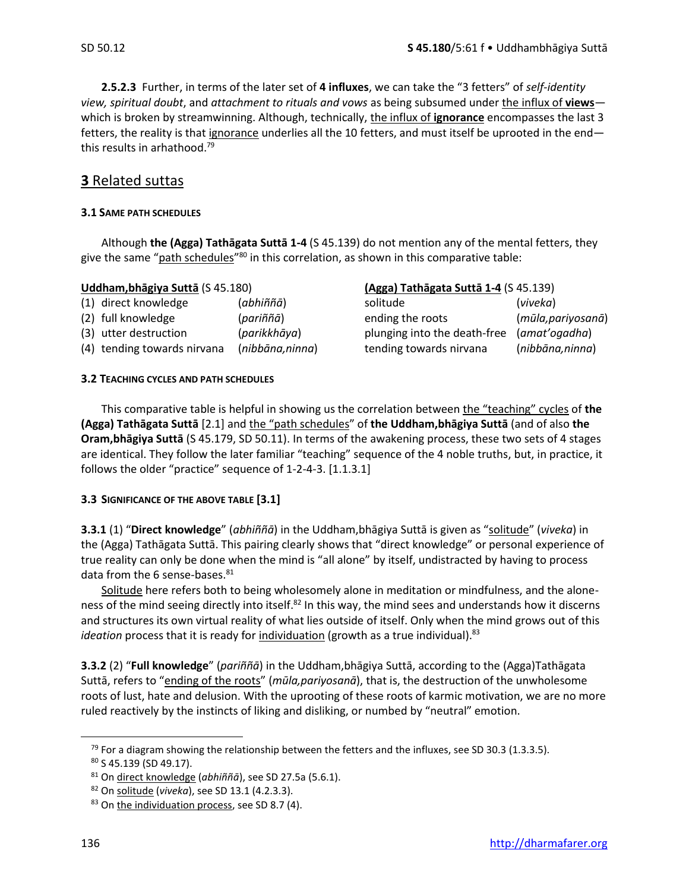**2.5.2.3** Further, in terms of the later set of **4 influxes**, we can take the "3 fetters" of *self-identity view, spiritual doubt*, and *attachment to rituals and vows* as being subsumed under the influx of **views** which is broken by streamwinning. Although, technically, the influx of **ignorance** encompasses the last 3 fetters, the reality is that ignorance underlies all the 10 fetters, and must itself be uprooted in the end this results in arhathood. 79

## **3** Related suttas

#### **3.1 SAME PATH SCHEDULES**

Although **the (Agga) Tathāgata Suttā 1-4** (S 45.139) do not mention any of the mental fetters, they give the same "<u>path schedules</u>"<sup>80</sup> in this correlation, as shown in this comparative table:

| <b>Uddham, bhāgiya Suttā (S 45.180)</b> |                             |                 | (Agga) Tathāgata Suttā 1-4 (S 45.139) |          |
|-----------------------------------------|-----------------------------|-----------------|---------------------------------------|----------|
|                                         | (1) direct knowledge        | (abhiññā)       | solitude                              | (viveka) |
|                                         | (2) full knowledge          | (pariññā)       | ending the roots                      | (mūla,p  |
|                                         | (3) utter destruction       | (parikkhāya)    | plunging into the death-free          | (amat'o  |
|                                         | (4) tending towards nirvana | (nibbāna,ninna) | tending towards nirvana               | (nibbān  |

## **Uddham,bhāgiya Suttā** (S 45.180) **(Agga) Tathāgata Suttā 1-4** (S 45.139)

ending the roots (*mūla,pariyosanā*) plunging into the death-free (*amat'ogadha*) (4) tending towards nirvana (*nibbāna,ninna*) tending towards nirvana (*nibbāna,ninna*)

#### **3.2 TEACHING CYCLES AND PATH SCHEDULES**

This comparative table is helpful in showing us the correlation between the "teaching" cycles of **the (Agga) Tathāgata Suttā** [2.1] and the "path schedules" of **the Uddham,bhāgiya Suttā** (and of also **the Oram,bhāgiya Suttā** (S 45.179, SD 50.11). In terms of the awakening process, these two sets of 4 stages are identical. They follow the later familiar "teaching" sequence of the 4 noble truths, but, in practice, it follows the older "practice" sequence of 1-2-4-3. [1.1.3.1]

#### **3.3 SIGNIFICANCE OF THE ABOVE TABLE [3.1]**

**3.3.1** (1) "**Direct knowledge**" (*abhiññā*) in the Uddham,bhāgiya Suttā is given as "solitude" (*viveka*) in the (Agga) Tathāgata Suttā. This pairing clearly shows that "direct knowledge" or personal experience of true reality can only be done when the mind is "all alone" by itself, undistracted by having to process data from the 6 sense-bases.<sup>81</sup>

Solitude here refers both to being wholesomely alone in meditation or mindfulness, and the aloneness of the mind seeing directly into itself.<sup>82</sup> In this way, the mind sees and understands how it discerns and structures its own virtual reality of what lies outside of itself. Only when the mind grows out of this *ideation* process that it is ready for *individuation* (growth as a true individual).<sup>83</sup>

**3.3.2** (2) "**Full knowledge**" (*pariññā*) in the Uddham,bhāgiya Suttā, according to the (Agga)Tathāgata Suttā, refers to "ending of the roots" (*mūla,pariyosanā*), that is, the destruction of the unwholesome roots of lust, hate and delusion. With the uprooting of these roots of karmic motivation, we are no more ruled reactively by the instincts of liking and disliking, or numbed by "neutral" emotion.

 $79$  For a diagram showing the relationship between the fetters and the influxes, see SD 30.3 (1.3.3.5).

 $80$  S 45.139 (SD 49.17).

<sup>81</sup> On direct knowledge (*abhiññā*), see SD 27.5a (5.6.1).

<sup>82</sup> On solitude (*viveka*), see SD 13.1 (4.2.3.3).

<sup>83</sup> On the individuation process, see SD 8.7 (4).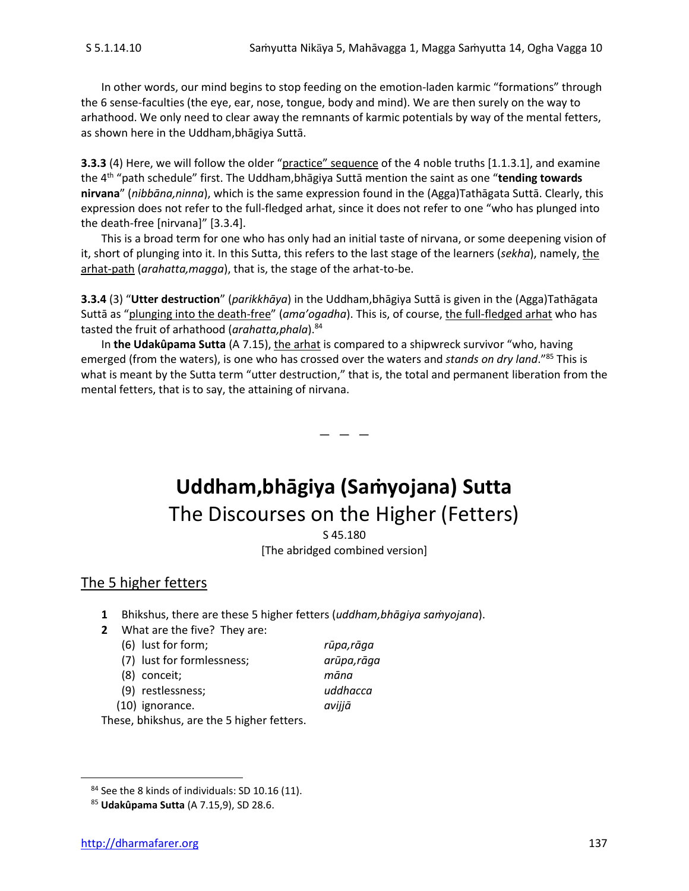In other words, our mind begins to stop feeding on the emotion-laden karmic "formations" through the 6 sense-faculties (the eye, ear, nose, tongue, body and mind). We are then surely on the way to arhathood. We only need to clear away the remnants of karmic potentials by way of the mental fetters, as shown here in the Uddham,bhāgiya Suttā.

**3.3.3** (4) Here, we will follow the older "practice" sequence of the 4 noble truths [1.1.3.1], and examine the 4th "path schedule" first. The Uddham,bhāgiya Suttā mention the saint as one "**tending towards nirvana**" (*nibbāna,ninna*), which is the same expression found in the (Agga)Tathāgata Suttā. Clearly, this expression does not refer to the full-fledged arhat, since it does not refer to one "who has plunged into the death-free [nirvana]" [3.3.4].

This is a broad term for one who has only had an initial taste of nirvana, or some deepening vision of it, short of plunging into it. In this Sutta, this refers to the last stage of the learners (*sekha*), namely, the arhat-path (*arahatta,magga*), that is, the stage of the arhat-to-be.

**3.3.4** (3) "**Utter destruction**" (*parikkhāya*) in the Uddham,bhāgiya Suttā is given in the (Agga)Tathāgata Suttā as "plunging into the death-free" (*ama'ogadha*). This is, of course, the full-fledged arhat who has tasted the fruit of arhathood (*arahatta,phala*).<sup>84</sup>

In **the Udakûpama Sutta** (A 7.15), the arhat is compared to a shipwreck survivor "who, having emerged (from the waters), is one who has crossed over the waters and *stands on dry land*."<sup>85</sup> This is what is meant by the Sutta term "utter destruction," that is, the total and permanent liberation from the mental fetters, that is to say, the attaining of nirvana.

## **Uddham,bhāgiya (Saṁyojana) Sutta** The Discourses on the Higher (Fetters)

 $-$ 

S 45.180 [The abridged combined version]

## The 5 higher fetters

- **1** Bhikshus, there are these 5 higher fetters (*uddham,bhāgiya saṁyojana*).
- **2** What are the five? They are:
	- (6) lust for form; *rūpa,rāga*
	- (7) lust for formlessness; *arūpa,rāga*
	- (8) conceit; *māna*
	- (9) restlessness; *uddhacca*

- (10) ignorance. *avijjā*
	-

These, bhikshus, are the 5 higher fetters.

<sup>&</sup>lt;sup>84</sup> See the 8 kinds of individuals: SD 10.16 (11).

<sup>85</sup> **Udakûpama Sutta** (A 7.15,9), SD 28.6.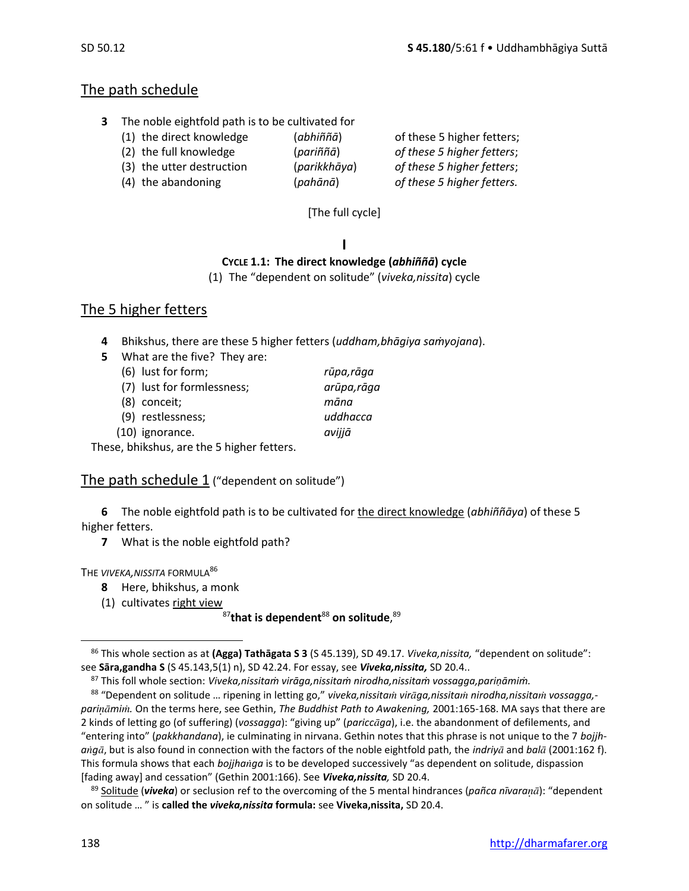## The path schedule

- **3** The noble eightfold path is to be cultivated for
	- (1) the direct knowledge (*abhiññā*) of these 5 higher fetters;
	- (2) the full knowledge (*pariññā*) *of these 5 higher fetters*;
	- (3) the utter destruction (*parikkhāya*) *of these 5 higher fetters*;
		-
- 
- 
- 
- 
- (4) the abandoning (*pahānā*) *of these 5 higher fetters.*

[The full cycle]

## **I**

## **CYCLE 1.1: The direct knowledge (***abhiññā***) cycle**

(1) The "dependent on solitude" (*viveka,nissita*) cycle

## The 5 higher fetters

- **4** Bhikshus, there are these 5 higher fetters (*uddham,bhāgiya saṁyojana*).
- **5** What are the five? They are:
	- (6) lust for form; *rūpa,rāga*  (7) lust for formlessness; *arūpa,rāga*
	- (8) conceit; *māna*
	- (9) restlessness; *uddhacca*
	- (10) ignorance. *avijjā*

These, bhikshus, are the 5 higher fetters.

## The path schedule 1 ("dependent on solitude")

**6** The noble eightfold path is to be cultivated for the direct knowledge (*abhiññāya*) of these 5 higher fetters.

**7** What is the noble eightfold path?

## THE *VIVEKA,NISSITA* FORMULA<sup>86</sup>

- **8** Here, bhikshus, a monk
- (1) cultivates right view

## <sup>87</sup>**that is dependent**<sup>88</sup> **on solitude**, 89

<sup>86</sup> This whole section as at **(Agga) Tathāgata S 3** (S 45.139), SD 49.17. *Viveka,nissita,* "dependent on solitude": see **Sāra,gandha S** (S 45.143,5(1) n), SD 42.24. For essay, see *Viveka,nissita,* SD 20.4..

<sup>87</sup> This foll whole section: *Viveka,nissitaṁ virāga,nissitaṁ nirodha,nissitaṁ vossagga,pariṇāmiṁ.*

<sup>88 &</sup>quot;Dependent on solitude ... ripening in letting go," viveka,nissitam vir*āga,nissitam nirodha,nissitam vossagga*,*parimi.* On the terms here, see Gethin, *The Buddhist Path to Awakening,* 2001:165-168. MA says that there are 2 kinds of letting go (of suffering) (*vossagga*): "giving up" (*pariccga*), i.e. the abandonment of defilements, and "entering into" (*pakkhandana*), ie culminating in nirvana. Gethin notes that this phrase is not unique to the 7 *bojjhangā*, but is also found in connection with the factors of the noble eightfold path, the *indriyā* and *balā* (2001:162 f). This formula shows that each *bojjhaga* is to be developed successively "as dependent on solitude, dispassion [fading away] and cessation" (Gethin 2001:166). See *Viveka,nissita,* SD 20.4.

<sup>89</sup> Solitude (*viveka*) or seclusion ref to the overcoming of the 5 mental hindrances (*pañca nīvara*): "dependent on solitude … " is **called the** *viveka,nissita* **formula:** see **Viveka,nissita,** SD 20.4.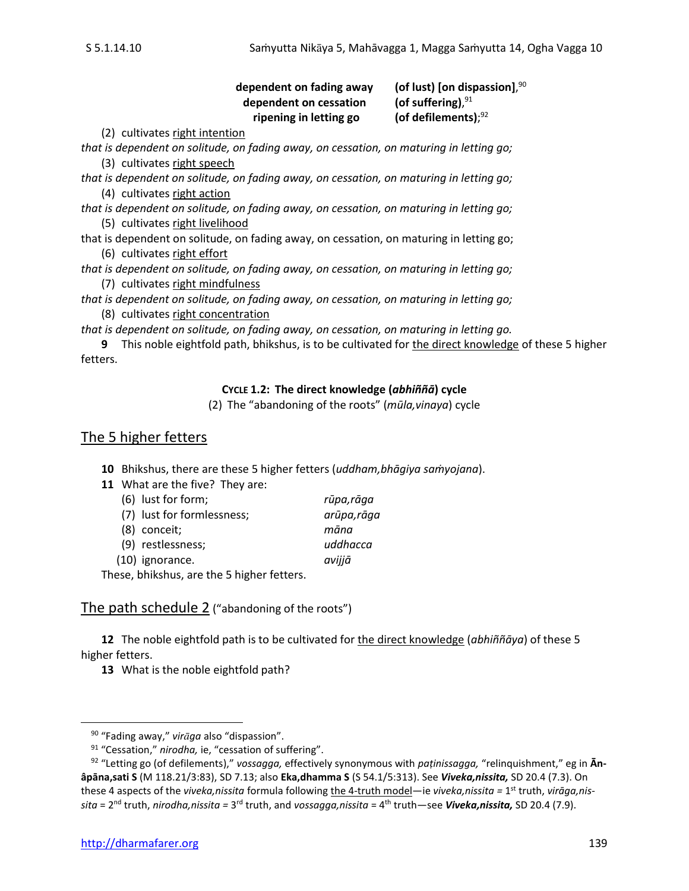#### dependent on fading away (of lust) [on dispassion], $90$ dependent on cessation (of suffering). $91$ **ripening in letting go** (of defilements);92

(2) cultivates right intention

*that is dependent on solitude, on fading away, on cessation, on maturing in letting go;* (3) cultivates right speech

*that is dependent on solitude, on fading away, on cessation, on maturing in letting go;* (4) cultivates right action

*that is dependent on solitude, on fading away, on cessation, on maturing in letting go;* (5) cultivates right livelihood

that is dependent on solitude, on fading away, on cessation, on maturing in letting go; (6) cultivates right effort

*that is dependent on solitude, on fading away, on cessation, on maturing in letting go;* (7) cultivates right mindfulness

*that is dependent on solitude, on fading away, on cessation, on maturing in letting go;* (8) cultivates right concentration

*that is dependent on solitude, on fading away, on cessation, on maturing in letting go.*

**9** This noble eightfold path, bhikshus, is to be cultivated for the direct knowledge of these 5 higher fetters.

## **CYCLE 1.2: The direct knowledge (***abhiññā***) cycle**

(2) The "abandoning of the roots" (*mūla,vinaya*) cycle

## The 5 higher fetters

**10** Bhikshus, there are these 5 higher fetters (*uddham,bhāgiya saṁyojana*).

|  | 11 What are the five? They are: |  |
|--|---------------------------------|--|
|--|---------------------------------|--|

| (6) lust for form;         | rūpa,rāga   |
|----------------------------|-------------|
| (7) lust for formlessness; | arūpa, rāga |
| (8) conceit;               | māna        |
| (9) restlessness;          | uddhacca    |
| (10) ignorance.            | avijjā      |
| $\blacksquare$             |             |

These, bhikshus, are the 5 higher fetters.

The path schedule 2 ("abandoning of the roots")

**12** The noble eightfold path is to be cultivated for the direct knowledge (*abhiññāya*) of these 5 higher fetters.

<sup>90</sup> "Fading away," *virga* also "dispassion".

<sup>&</sup>lt;sup>91</sup> "Cessation," nirodha, ie, "cessation of suffering".

<sup>92</sup> "Letting go (of defilements)," *vossagga,* effectively synonymous with *paṭinissagga,* "relinquishment," eg in **Ānâpāna,sati S** (M 118.21/3:83), SD 7.13; also **Eka,dhamma S** (S 54.1/5:313). See *Viveka,nissita,* SD 20.4 (7.3). On these 4 aspects of the *viveka,nissita* formula following the 4-truth model—ie *viveka,nissita =* 1 st truth, *virāga,nissita* = 2<sup>nd</sup> truth, *nirodha,nissita* = 3<sup>rd</sup> truth, and *vossagga,nissita* = 4<sup>th</sup> truth—see **Viveka,nissita,** SD 20.4 (7.9).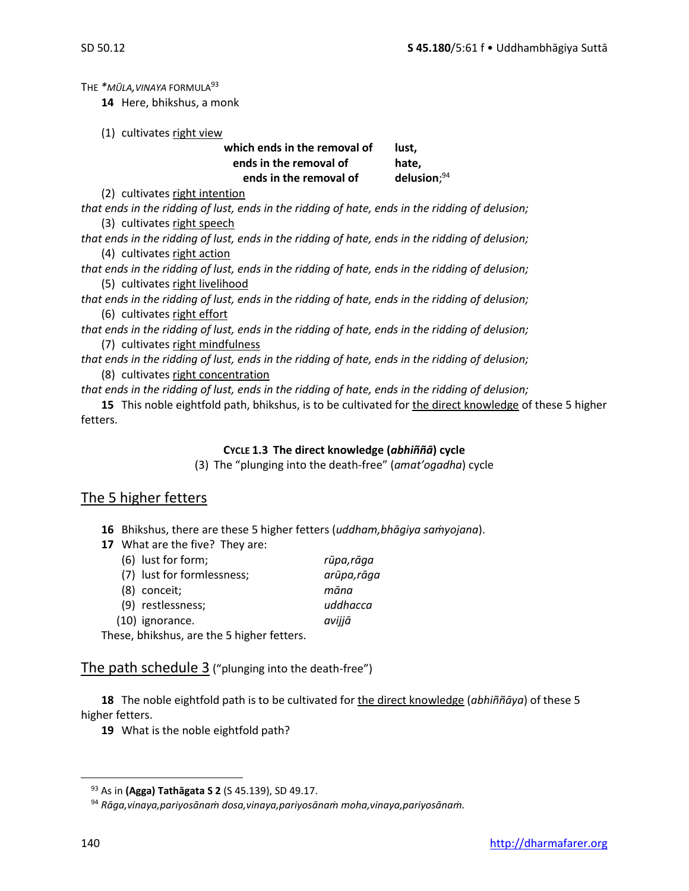THE *\*MŪLA,VINAYA* FORMULA<sup>93</sup>

**14** Here, bhikshus, a monk

(1) cultivates right view

#### which ends in the removal of lust, **ends in the removal of hate, ends in the removal of** delusion; $94$

(2) cultivates right intention

*that ends in the ridding of lust, ends in the ridding of hate, ends in the ridding of delusion;* (3) cultivates right speech

*that ends in the ridding of lust, ends in the ridding of hate, ends in the ridding of delusion;* (4) cultivates right action

*that ends in the ridding of lust, ends in the ridding of hate, ends in the ridding of delusion;* (5) cultivates right livelihood

*that ends in the ridding of lust, ends in the ridding of hate, ends in the ridding of delusion;* (6) cultivates right effort

*that ends in the ridding of lust, ends in the ridding of hate, ends in the ridding of delusion;* (7) cultivates right mindfulness

*that ends in the ridding of lust, ends in the ridding of hate, ends in the ridding of delusion;* (8) cultivates right concentration

*that ends in the ridding of lust, ends in the ridding of hate, ends in the ridding of delusion;*

**15** This noble eightfold path, bhikshus, is to be cultivated for the direct knowledge of these 5 higher fetters.

#### **CYCLE 1.3 The direct knowledge (***abhiññā***) cycle**

(3) The "plunging into the death-free" (*amat'ogadha*) cycle

## The 5 higher fetters

- **16** Bhikshus, there are these 5 higher fetters (*uddham,bhāgiya saṁyojana*).
- **17** What are the five? They are:

| (6) lust for form;                                                                                                   | rūpa,rāga   |
|----------------------------------------------------------------------------------------------------------------------|-------------|
| (7) lust for formlessness;                                                                                           | arūpa, rāga |
| (8) conceit;                                                                                                         | māna        |
| (9) restlessness;                                                                                                    | uddhacca    |
| (10) ignorance.                                                                                                      | avijjā      |
| a dia 1910 - Patrick College and College and College and College and College and College and College and College and |             |

These, bhikshus, are the 5 higher fetters.

The path schedule 3 ("plunging into the death-free")

**18** The noble eightfold path is to be cultivated for the direct knowledge (*abhiññāya*) of these 5 higher fetters.

<sup>93</sup> As in **(Agga) Tathāgata S 2** (S 45.139), SD 49.17.

<sup>94</sup> *Rāga,vinaya,pariyosānaṁ dosa,vinaya,pariyosānaṁ moha,vinaya,pariyosānaṁ.*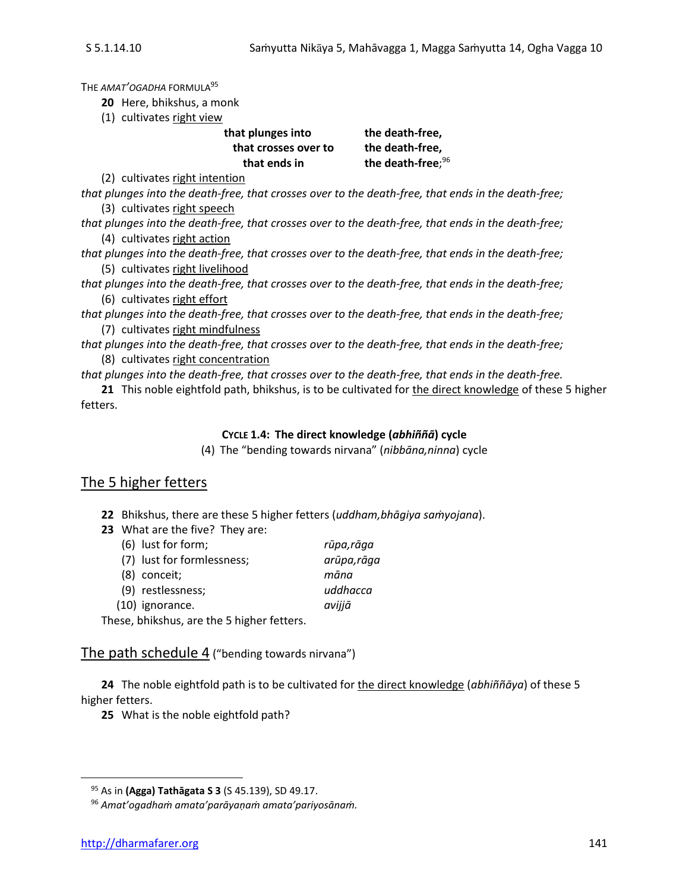THE *AMAT'OGADHA* FORMULA<sup>95</sup>

**20** Here, bhikshus, a monk

(1) cultivates right view

| that plunges into    | the death-free,               |
|----------------------|-------------------------------|
| that crosses over to | the death-free,               |
| that ends in         | the death-free; <sup>96</sup> |
|                      |                               |

(2) cultivates right intention

*that plunges into the death-free, that crosses over to the death-free, that ends in the death-free;* (3) cultivates right speech

*that plunges into the death-free, that crosses over to the death-free, that ends in the death-free;* (4) cultivates right action

*that plunges into the death-free, that crosses over to the death-free, that ends in the death-free;* (5) cultivates right livelihood

*that plunges into the death-free, that crosses over to the death-free, that ends in the death-free;* (6) cultivates right effort

*that plunges into the death-free, that crosses over to the death-free, that ends in the death-free;* (7) cultivates right mindfulness

*that plunges into the death-free, that crosses over to the death-free, that ends in the death-free;* (8) cultivates right concentration

*that plunges into the death-free, that crosses over to the death-free, that ends in the death-free.*

**21** This noble eightfold path, bhikshus, is to be cultivated for the direct knowledge of these 5 higher fetters.

## **CYCLE 1.4: The direct knowledge (***abhiññā***) cycle**

(4) The "bending towards nirvana" (*nibbāna,ninna*) cycle

## The 5 higher fetters

**22** Bhikshus, there are these 5 higher fetters (*uddham,bhāgiya saṁyojana*).

- **23** What are the five? They are:
	- (6) lust for form; *rūpa,rāga*  (7) lust for formlessness; *arūpa,rāga*  (8) conceit; *māna* (9) restlessness; *uddhacca*
	- (10) ignorance. *avijjā*

These, bhikshus, are the 5 higher fetters.

## The path schedule 4 ("bending towards nirvana")

**24** The noble eightfold path is to be cultivated for the direct knowledge (*abhiññāya*) of these 5 higher fetters.

<sup>95</sup> As in **(Agga) Tathāgata S 3** (S 45.139), SD 49.17.

<sup>96</sup> *Amat'ogadhaṁ amata'parāyaṇaṁ amata'pariyosānaṁ.*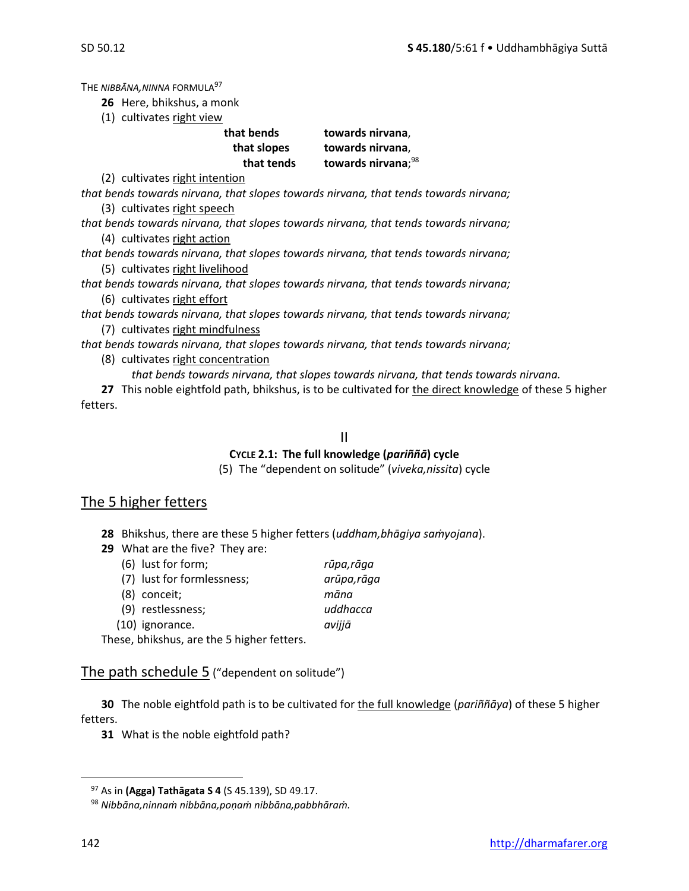THE *NIBBĀNA,NINNA* FORMULA<sup>97</sup>

- **26** Here, bhikshus, a monk
- (1) cultivates right view

| that bends  | towards nirvana,               |
|-------------|--------------------------------|
| that slopes | towards nirvana,               |
| that tends  | towards nirvana; <sup>98</sup> |

(2) cultivates right intention

*that bends towards nirvana, that slopes towards nirvana, that tends towards nirvana;* (3) cultivates right speech

*that bends towards nirvana, that slopes towards nirvana, that tends towards nirvana;* (4) cultivates right action

*that bends towards nirvana, that slopes towards nirvana, that tends towards nirvana;* (5) cultivates right livelihood

*that bends towards nirvana, that slopes towards nirvana, that tends towards nirvana;* (6) cultivates right effort

*that bends towards nirvana, that slopes towards nirvana, that tends towards nirvana;* (7) cultivates right mindfulness

*that bends towards nirvana, that slopes towards nirvana, that tends towards nirvana;*

- (8) cultivates right concentration
	- *that bends towards nirvana, that slopes towards nirvana, that tends towards nirvana.*

27 This noble eightfold path, bhikshus, is to be cultivated for the direct knowledge of these 5 higher fetters.

#### II

## **CYCLE 2.1: The full knowledge (***pariññā***) cycle**

(5) The "dependent on solitude" (*viveka,nissita*) cycle

## The 5 higher fetters

- **28** Bhikshus, there are these 5 higher fetters (*uddham,bhāgiya saṁyojana*).
- **29** What are the five? They are:
	- (6) lust for form; *rūpa,rāga*
	- (7) lust for formlessness; *arūpa,rāga*  (8) conceit; *māna* (9) restlessness; *uddhacca* (10) ignorance. *avijjā*

These, bhikshus, are the 5 higher fetters.

## The path schedule  $5$  ("dependent on solitude")

**30** The noble eightfold path is to be cultivated for the full knowledge (*pariññāya*) of these 5 higher fetters.

<sup>97</sup> As in **(Agga) Tathāgata S 4** (S 45.139), SD 49.17.

<sup>98</sup> *Nibbāna,ninnaṁ nibbāna,poṇaṁ nibbāna,pabbhāraṁ.*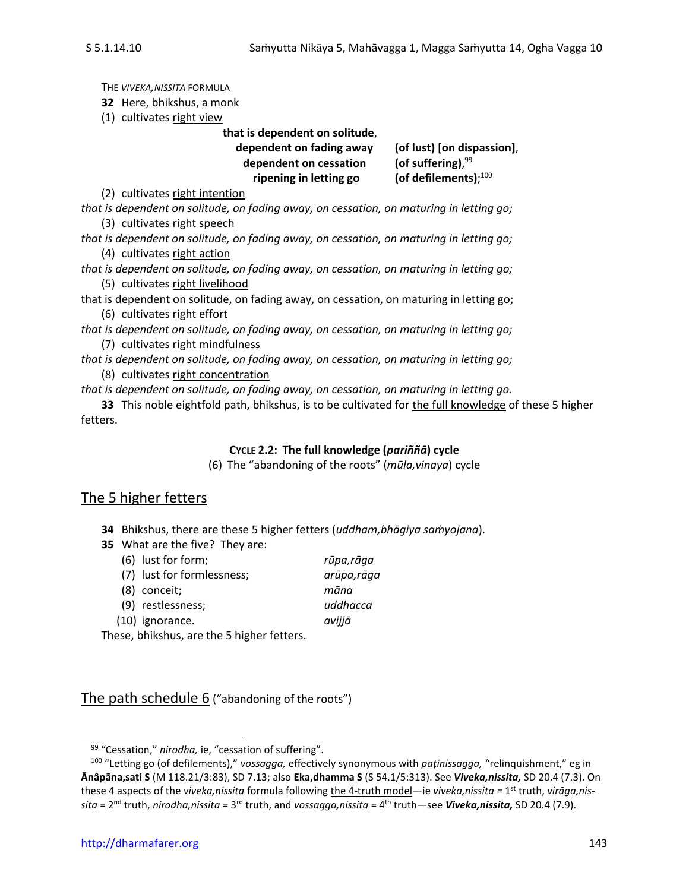THE *VIVEKA,NISSITA* FORMULA **32** Here, bhikshus, a monk (1) cultivates right view **that is dependent on solitude**, **dependent on fading away (of lust) [on dispassion]**, dependent on cessation (of suffering), $99$ **ripening in letting go** (of defilements); $100$ (2) cultivates right intention *that is dependent on solitude, on fading away, on cessation, on maturing in letting go;* (3) cultivates right speech *that is dependent on solitude, on fading away, on cessation, on maturing in letting go;* (4) cultivates right action *that is dependent on solitude, on fading away, on cessation, on maturing in letting go;* (5) cultivates right livelihood that is dependent on solitude, on fading away, on cessation, on maturing in letting go; (6) cultivates right effort *that is dependent on solitude, on fading away, on cessation, on maturing in letting go;* (7) cultivates right mindfulness *that is dependent on solitude, on fading away, on cessation, on maturing in letting go;* (8) cultivates right concentration

*that is dependent on solitude, on fading away, on cessation, on maturing in letting go.*

**33** This noble eightfold path, bhikshus, is to be cultivated for the full knowledge of these 5 higher fetters.

#### **CYCLE 2.2: The full knowledge (***pariññā***) cycle**

(6) The "abandoning of the roots" (*mūla,vinaya*) cycle

## The 5 higher fetters

- **34** Bhikshus, there are these 5 higher fetters (*uddham,bhāgiya saṁyojana*).
- **35** What are the five? They are:
	- (6) lust for form; *rūpa,rāga*  (7) lust for formlessness; *arūpa,rāga*  (8) conceit; *māna* (9) restlessness; *uddhacca* (10) ignorance. *avijjā*

These, bhikshus, are the 5 higher fetters.

The path schedule 6 ("abandoning of the roots")

<sup>99</sup> "Cessation," *nirodha,* ie, "cessation of suffering".

<sup>100</sup> "Letting go (of defilements)," *vossagga,* effectively synonymous with *paṭinissagga,* "relinquishment," eg in **Ānâpāna,sati S** (M 118.21/3:83), SD 7.13; also **Eka,dhamma S** (S 54.1/5:313). See *Viveka,nissita,* SD 20.4 (7.3). On these 4 aspects of the *viveka,nissita* formula following the 4-truth model—ie *viveka,nissita =* 1 st truth, *virāga,nissita* = 2<sup>nd</sup> truth, *nirodha,nissita* = 3<sup>rd</sup> truth, and *vossagga,nissita* = 4<sup>th</sup> truth—see **Viveka,nissita,** SD 20.4 (7.9).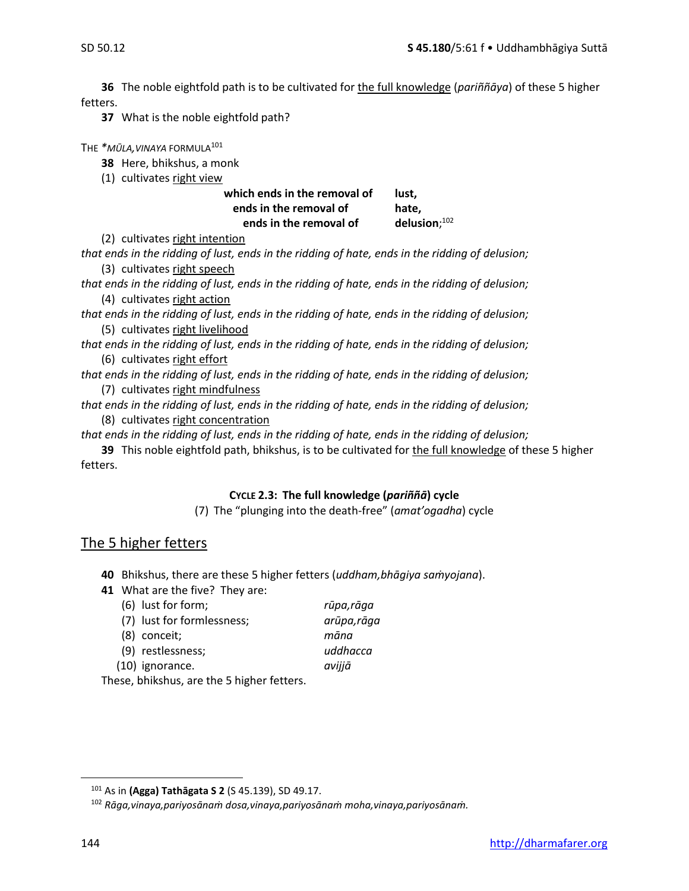**36** The noble eightfold path is to be cultivated for the full knowledge (*pariññāya*) of these 5 higher fetters.

**37** What is the noble eightfold path?

THE *\*MŪLA,VINAYA* FORMULA<sup>101</sup>

**38** Here, bhikshus, a monk

(1) cultivates right view

which ends in the removal of lust. **ends in the removal of hate, ends in the removal of** delusion:102

(2) cultivates right intention

*that ends in the ridding of lust, ends in the ridding of hate, ends in the ridding of delusion;* (3) cultivates right speech

*that ends in the ridding of lust, ends in the ridding of hate, ends in the ridding of delusion;* (4) cultivates right action

*that ends in the ridding of lust, ends in the ridding of hate, ends in the ridding of delusion;* (5) cultivates right livelihood

*that ends in the ridding of lust, ends in the ridding of hate, ends in the ridding of delusion;* (6) cultivates right effort

*that ends in the ridding of lust, ends in the ridding of hate, ends in the ridding of delusion;* (7) cultivates right mindfulness

*that ends in the ridding of lust, ends in the ridding of hate, ends in the ridding of delusion;* (8) cultivates right concentration

*that ends in the ridding of lust, ends in the ridding of hate, ends in the ridding of delusion;*

**39** This noble eightfold path, bhikshus, is to be cultivated for the full knowledge of these 5 higher fetters.

## **CYCLE 2.3: The full knowledge (***pariññā***) cycle**

(7) The "plunging into the death-free" (*amat'ogadha*) cycle

## The 5 higher fetters

- **40** Bhikshus, there are these 5 higher fetters (*uddham,bhāgiya saṁyojana*).
- **41** What are the five? They are:
	- (6) lust for form; *rūpa,rāga*  (7) lust for formlessness; *arūpa,rāga*  (8) conceit; *māna* (9) restlessness; *uddhacca* (10) ignorance. *avijjā*

These, bhikshus, are the 5 higher fetters.

<sup>101</sup> As in **(Agga) Tathāgata S 2** (S 45.139), SD 49.17.

<sup>102</sup> *Rāga,vinaya,pariyosānaṁ dosa,vinaya,pariyosānaṁ moha,vinaya,pariyosānaṁ.*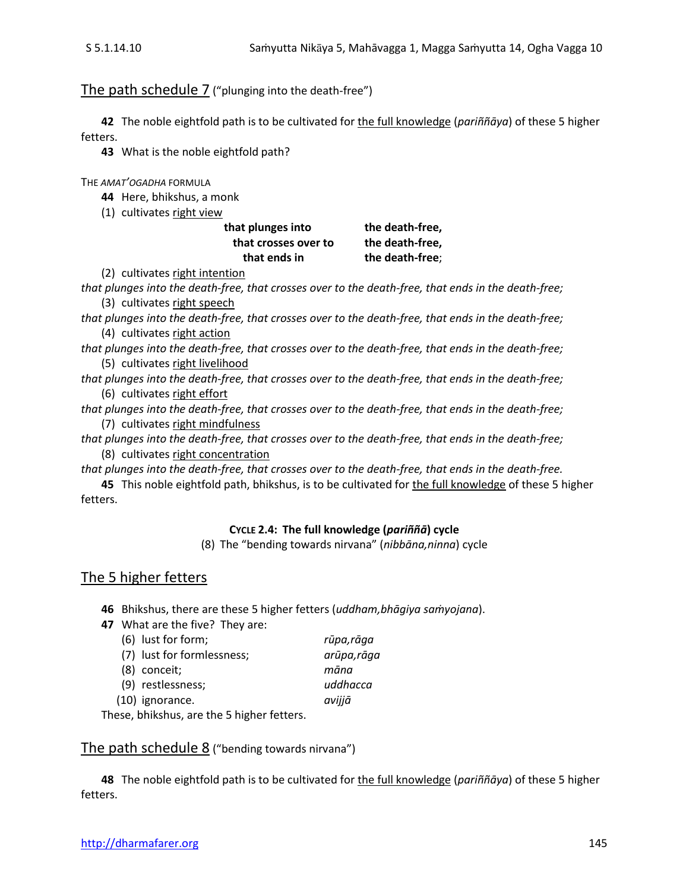## The path schedule 7 ("plunging into the death-free")

**42** The noble eightfold path is to be cultivated for the full knowledge (*pariññāya*) of these 5 higher fetters.

**43** What is the noble eightfold path?

THE *AMAT'OGADHA* FORMULA

- **44** Here, bhikshus, a monk
- (1) cultivates right view

| that plunges into    | the death-free, |
|----------------------|-----------------|
| that crosses over to | the death-free, |
| that ends in         | the death-free; |

(2) cultivates right intention

*that plunges into the death-free, that crosses over to the death-free, that ends in the death-free;* (3) cultivates right speech

*that plunges into the death-free, that crosses over to the death-free, that ends in the death-free;* (4) cultivates right action

*that plunges into the death-free, that crosses over to the death-free, that ends in the death-free;* (5) cultivates right livelihood

*that plunges into the death-free, that crosses over to the death-free, that ends in the death-free;* (6) cultivates right effort

*that plunges into the death-free, that crosses over to the death-free, that ends in the death-free;* (7) cultivates right mindfulness

*that plunges into the death-free, that crosses over to the death-free, that ends in the death-free;* (8) cultivates right concentration

*that plunges into the death-free, that crosses over to the death-free, that ends in the death-free.*

**45** This noble eightfold path, bhikshus, is to be cultivated for the full knowledge of these 5 higher fetters.

#### **CYCLE 2.4: The full knowledge (***pariññā***) cycle**

(8) The "bending towards nirvana" (*nibbāna,ninna*) cycle

## The 5 higher fetters

**46** Bhikshus, there are these 5 higher fetters (*uddham,bhāgiya saṁyojana*).

**47** What are the five? They are:

|  | (6) lust for form; |  |
|--|--------------------|--|
|  |                    |  |

| (6) lust for form;         | rūpa,rāga   |
|----------------------------|-------------|
| (7) lust for formlessness; | arūpa, rāga |
| (8) conceit;               | māna        |
| (9) restlessness;          | uddhacca    |
| (10) ignorance.            | avijjā      |
|                            |             |

These, bhikshus, are the 5 higher fetters.

The path schedule 8 ("bending towards nirvana")

**48** The noble eightfold path is to be cultivated for the full knowledge (*pariññāya*) of these 5 higher fetters.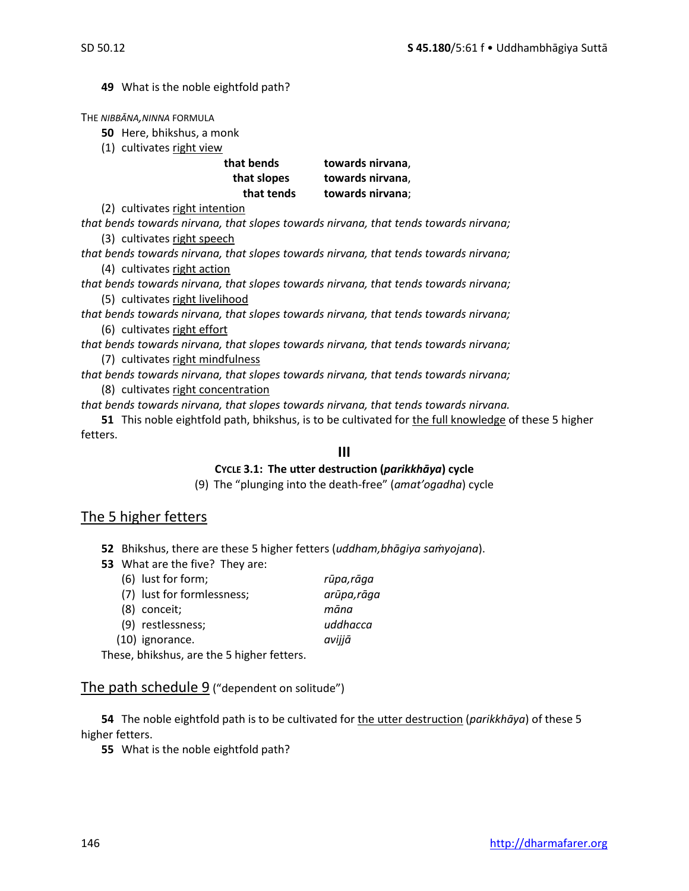**49** What is the noble eightfold path?

THE *NIBBĀNA,NINNA* FORMULA

**50** Here, bhikshus, a monk

(1) cultivates right view

| that bends  | towards nirvana, |
|-------------|------------------|
| that slopes | towards nirvana, |
| that tends  | towards nirvana; |

(2) cultivates right intention

*that bends towards nirvana, that slopes towards nirvana, that tends towards nirvana;* (3) cultivates right speech

*that bends towards nirvana, that slopes towards nirvana, that tends towards nirvana;* (4) cultivates right action

*that bends towards nirvana, that slopes towards nirvana, that tends towards nirvana;* (5) cultivates right livelihood

*that bends towards nirvana, that slopes towards nirvana, that tends towards nirvana;* (6) cultivates right effort

*that bends towards nirvana, that slopes towards nirvana, that tends towards nirvana;*

(7) cultivates right mindfulness

*that bends towards nirvana, that slopes towards nirvana, that tends towards nirvana;* (8) cultivates right concentration

*that bends towards nirvana, that slopes towards nirvana, that tends towards nirvana.*

**51** This noble eightfold path, bhikshus, is to be cultivated for the full knowledge of these 5 higher fetters.

## **III**

#### **CYCLE 3.1: The utter destruction (***parikkhāya***) cycle**

(9) The "plunging into the death-free" (*amat'ogadha*) cycle

## The 5 higher fetters

**52** Bhikshus, there are these 5 higher fetters (*uddham,bhāgiya saṁyojana*).

**53** What are the five? They are:

| (6) lust for form;                         | rūpa,rāga   |
|--------------------------------------------|-------------|
| (7) lust for formlessness;                 | arūpa, rāga |
| $(8)$ conceit;                             | māna        |
| (9) restlessness;                          | uddhacca    |
| $(10)$ ignorance.                          | avijjā      |
| ooo leleileeloo ono tleo Eleisland fottono |             |

These, bhikshus, are the 5 higher fetters.

## The path schedule 9 ("dependent on solitude")

**54** The noble eightfold path is to be cultivated for the utter destruction (*parikkhāya*) of these 5 higher fetters.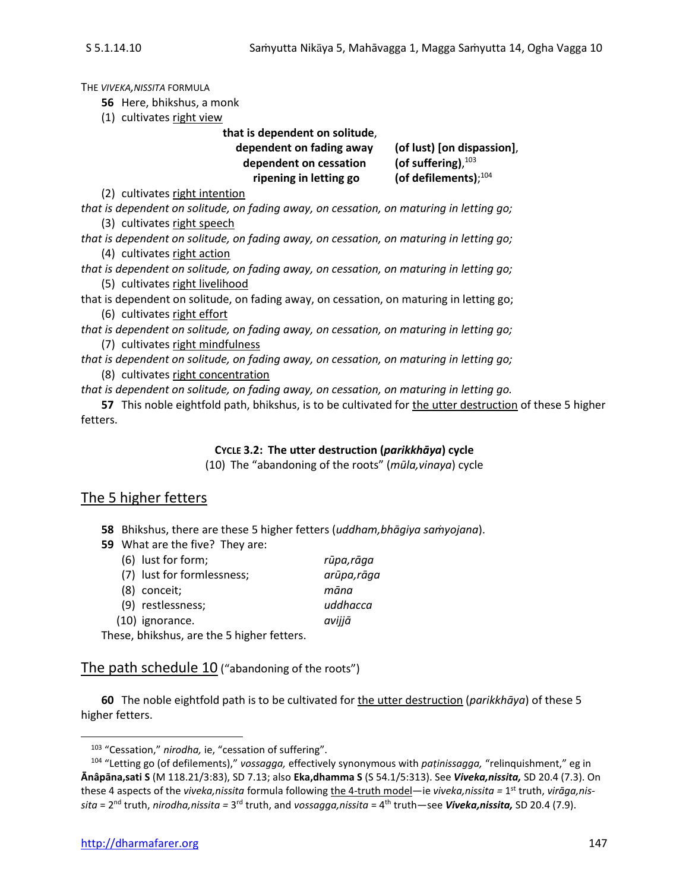THE *VIVEKA,NISSITA* FORMULA

**56** Here, bhikshus, a monk

(1) cultivates right view

**that is dependent on solitude**,

**dependent on fading away (of lust) [on dispassion]**, dependent on cessation **ripening in letting go** 

(of suffering), $103$ (of defilements); $104$ 

(2) cultivates right intention

*that is dependent on solitude, on fading away, on cessation, on maturing in letting go;* (3) cultivates right speech

- *that is dependent on solitude, on fading away, on cessation, on maturing in letting go;* (4) cultivates right action
- *that is dependent on solitude, on fading away, on cessation, on maturing in letting go;* (5) cultivates right livelihood

that is dependent on solitude, on fading away, on cessation, on maturing in letting go; (6) cultivates right effort

*that is dependent on solitude, on fading away, on cessation, on maturing in letting go;* (7) cultivates right mindfulness

*that is dependent on solitude, on fading away, on cessation, on maturing in letting go;* (8) cultivates right concentration

*that is dependent on solitude, on fading away, on cessation, on maturing in letting go.*

**57** This noble eightfold path, bhikshus, is to be cultivated for the utter destruction of these 5 higher fetters.

## **CYCLE 3.2: The utter destruction (***parikkhāya***) cycle**

(10) The "abandoning of the roots" (*mūla,vinaya*) cycle

## The 5 higher fetters

- **58** Bhikshus, there are these 5 higher fetters (*uddham,bhāgiya saṁyojana*).
- **59** What are the five? They are:

| (6) lust for form;                                           | rūpa,rāga   |
|--------------------------------------------------------------|-------------|
| (7) lust for formlessness;                                   | arūpa, rāga |
| (8) conceit;                                                 | māna        |
| (9) restlessness;                                            | uddhacca    |
| (10) ignorance.                                              | avijjā      |
| المستحققة والمستحل والمناطب والقادم والمتراث والماري والمناف |             |

These, bhikshus, are the 5 higher fetters.

The path schedule 10 ("abandoning of the roots")

**60** The noble eightfold path is to be cultivated for the utter destruction (*parikkhāya*) of these 5 higher fetters.

<sup>103</sup> "Cessation," *nirodha,* ie, "cessation of suffering".

<sup>104</sup> "Letting go (of defilements)," *vossagga,* effectively synonymous with *paṭinissagga,* "relinquishment," eg in **Ānâpāna,sati S** (M 118.21/3:83), SD 7.13; also **Eka,dhamma S** (S 54.1/5:313). See *Viveka,nissita,* SD 20.4 (7.3). On these 4 aspects of the *viveka,nissita* formula following the 4-truth model—ie *viveka,nissita =* 1 st truth, *virāga,nissita* = 2<sup>nd</sup> truth, *nirodha,nissita* = 3<sup>rd</sup> truth, and *vossagga,nissita* = 4<sup>th</sup> truth—see **Viveka,nissita,** SD 20.4 (7.9).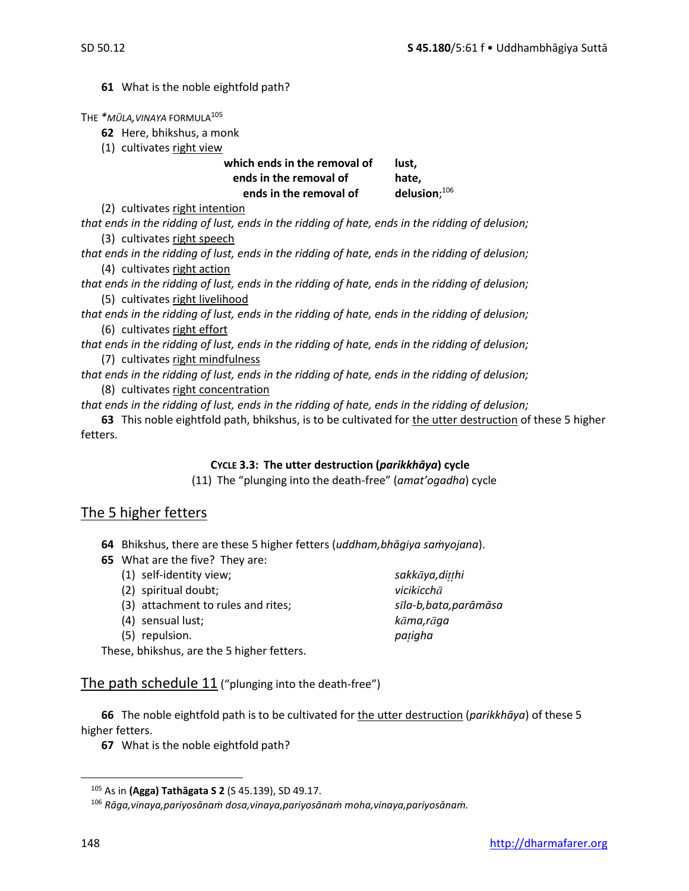**61** What is the noble eightfold path?

THE *\*MŪLA,VINAYA* FORMULA<sup>105</sup>

**62** Here, bhikshus, a monk

(1) cultivates right view

which ends in the removal of lust. **ends in the removal of hate, ends in the removal of**  $delusion:$ <sup>106</sup>

(2) cultivates right intention

*that ends in the ridding of lust, ends in the ridding of hate, ends in the ridding of delusion;* (3) cultivates right speech

*that ends in the ridding of lust, ends in the ridding of hate, ends in the ridding of delusion;* (4) cultivates right action

*that ends in the ridding of lust, ends in the ridding of hate, ends in the ridding of delusion;* (5) cultivates right livelihood

*that ends in the ridding of lust, ends in the ridding of hate, ends in the ridding of delusion;* (6) cultivates right effort

*that ends in the ridding of lust, ends in the ridding of hate, ends in the ridding of delusion;* (7) cultivates right mindfulness

*that ends in the ridding of lust, ends in the ridding of hate, ends in the ridding of delusion;* (8) cultivates right concentration

*that ends in the ridding of lust, ends in the ridding of hate, ends in the ridding of delusion;*

**63** This noble eightfold path, bhikshus, is to be cultivated for the utter destruction of these 5 higher fetters.

#### **CYCLE 3.3: The utter destruction (***parikkhāya***) cycle**

(11) The "plunging into the death-free" (*amat'ogadha*) cycle

## The 5 higher fetters

**64** Bhikshus, there are these 5 higher fetters (*uddham,bhāgiya saṁyojana*).

- **65** What are the five? They are:
	- (1) self-identity view; *sakkya,dihi*
	- (2) spiritual doubt; *vicikicch*
	- (3) attachment to rules and rites; *sla-b,bata,parāmāsa*
	- (4) sensual lust; *kma,rga*
	- (5) repulsion. *paigha*

These, bhikshus, are the 5 higher fetters.

The path schedule 11 ("plunging into the death-free")

**66** The noble eightfold path is to be cultivated for the utter destruction (*parikkhāya*) of these 5 higher fetters.

<sup>105</sup> As in **(Agga) Tathāgata S 2** (S 45.139), SD 49.17.

<sup>106</sup> *Rāga,vinaya,pariyosānaṁ dosa,vinaya,pariyosānaṁ moha,vinaya,pariyosānaṁ.*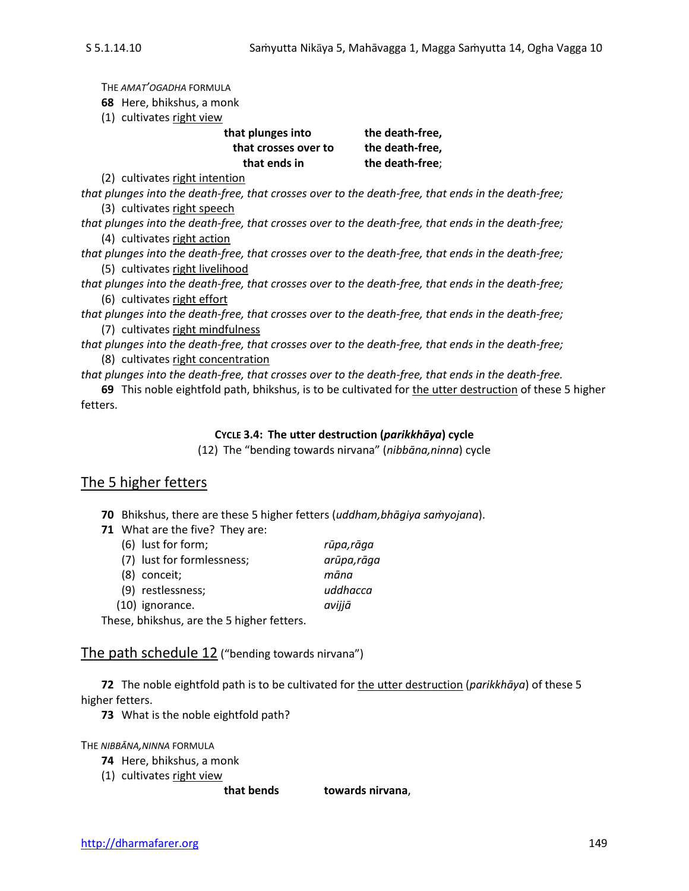THE *AMAT'OGADHA* FORMULA

**68** Here, bhikshus, a monk

(1) cultivates right view

| that plunges into    | the death-free, |
|----------------------|-----------------|
| that crosses over to | the death-free, |
| that ends in         | the death-free; |
|                      |                 |

(2) cultivates right intention

*that plunges into the death-free, that crosses over to the death-free, that ends in the death-free;* (3) cultivates right speech

*that plunges into the death-free, that crosses over to the death-free, that ends in the death-free;* (4) cultivates right action

*that plunges into the death-free, that crosses over to the death-free, that ends in the death-free;* (5) cultivates right livelihood

*that plunges into the death-free, that crosses over to the death-free, that ends in the death-free;* (6) cultivates right effort

*that plunges into the death-free, that crosses over to the death-free, that ends in the death-free;* (7) cultivates right mindfulness

*that plunges into the death-free, that crosses over to the death-free, that ends in the death-free;* (8) cultivates right concentration

*that plunges into the death-free, that crosses over to the death-free, that ends in the death-free.*

**69** This noble eightfold path, bhikshus, is to be cultivated for the utter destruction of these 5 higher fetters.

#### **CYCLE 3.4: The utter destruction (***parikkhāya***) cycle**

(12) The "bending towards nirvana" (*nibbāna,ninna*) cycle

## The 5 higher fetters

**70** Bhikshus, there are these 5 higher fetters (*uddham,bhāgiya saṁyojana*).

**71** What are the five? They are:

| (6) lust for form;         | rūpa,rāga   |
|----------------------------|-------------|
| (7) lust for formlessness; | arūpa, rāga |
| $(8)$ conceit;             | māna        |
| (9) restlessness;          | uddhacca    |
| $(10)$ ignorance.          | avijjā      |

These, bhikshus, are the 5 higher fetters.

The path schedule 12 ("bending towards nirvana")

**72** The noble eightfold path is to be cultivated for the utter destruction (*parikkhāya*) of these 5 higher fetters.

**73** What is the noble eightfold path?

THE *NIBBĀNA,NINNA* FORMULA

- **74** Here, bhikshus, a monk
- (1) cultivates right view

**that bends towards nirvana**,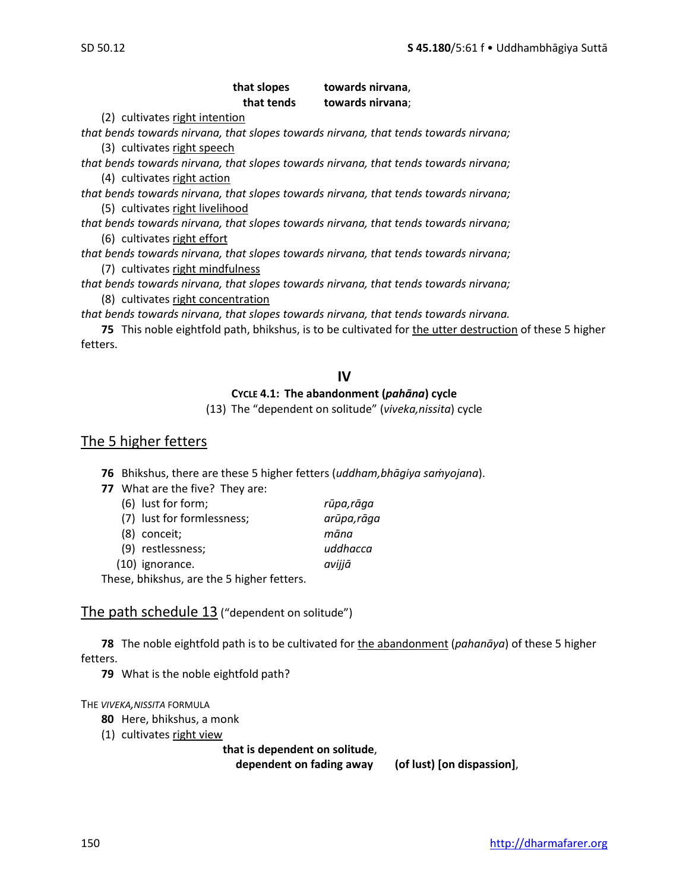## **that slopes towards nirvana**, **that tends towards nirvana**;

(2) cultivates right intention

*that bends towards nirvana, that slopes towards nirvana, that tends towards nirvana;* (3) cultivates right speech

*that bends towards nirvana, that slopes towards nirvana, that tends towards nirvana;* (4) cultivates right action

*that bends towards nirvana, that slopes towards nirvana, that tends towards nirvana;* (5) cultivates right livelihood

*that bends towards nirvana, that slopes towards nirvana, that tends towards nirvana;* (6) cultivates right effort

*that bends towards nirvana, that slopes towards nirvana, that tends towards nirvana;* (7) cultivates right mindfulness

*that bends towards nirvana, that slopes towards nirvana, that tends towards nirvana;* (8) cultivates right concentration

*that bends towards nirvana, that slopes towards nirvana, that tends towards nirvana.*

**75** This noble eightfold path, bhikshus, is to be cultivated for the utter destruction of these 5 higher fetters.

## **IV**

#### **CYCLE 4.1: The abandonment (***pahāna***) cycle**

(13) The "dependent on solitude" (*viveka,nissita*) cycle

## The 5 higher fetters

**76** Bhikshus, there are these 5 higher fetters (*uddham,bhāgiya saṁyojana*).

**77** What are the five? They are:

| (6) lust for form;                      | rūpa,rāga   |
|-----------------------------------------|-------------|
| (7) lust for formlessness;              | arūpa, rāga |
| (8) conceit;                            | māna        |
| (9) restlessness;                       | uddhacca    |
| (10) ignorance.                         | avijjā      |
| sse, bhikshus, are the E bigher fotters |             |

These, bhikshus, are the 5 higher fetters.

## The path schedule 13 ("dependent on solitude")

**78** The noble eightfold path is to be cultivated for the abandonment (*pahanāya*) of these 5 higher fetters.

**79** What is the noble eightfold path?

THE *VIVEKA,NISSITA* FORMULA

- **80** Here, bhikshus, a monk
- (1) cultivates right view

#### **that is dependent on solitude**,

**dependent on fading away (of lust) [on dispassion]**,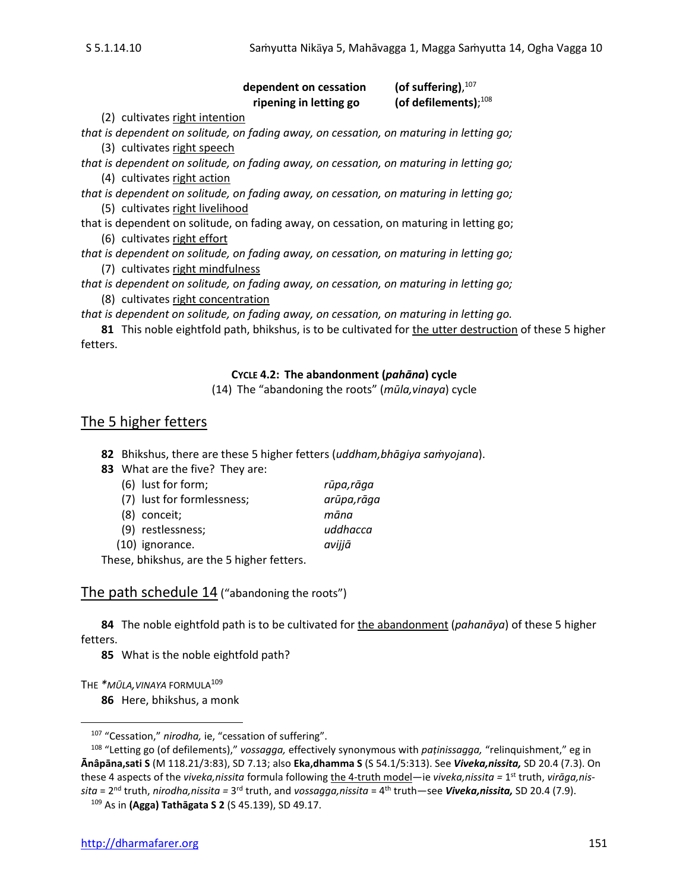#### dependent on cessation (of suffering). $107$ **ripening in letting go** (of defilements); $^{108}$

(2) cultivates right intention

*that is dependent on solitude, on fading away, on cessation, on maturing in letting go;* (3) cultivates right speech

*that is dependent on solitude, on fading away, on cessation, on maturing in letting go;* (4) cultivates right action

*that is dependent on solitude, on fading away, on cessation, on maturing in letting go;* (5) cultivates right livelihood

that is dependent on solitude, on fading away, on cessation, on maturing in letting go; (6) cultivates right effort

*that is dependent on solitude, on fading away, on cessation, on maturing in letting go;* (7) cultivates right mindfulness

*that is dependent on solitude, on fading away, on cessation, on maturing in letting go;* (8) cultivates right concentration

*that is dependent on solitude, on fading away, on cessation, on maturing in letting go.*

**81** This noble eightfold path, bhikshus, is to be cultivated for the utter destruction of these 5 higher fetters.

#### **CYCLE 4.2: The abandonment (***pahāna***) cycle**

(14) The "abandoning the roots" (*mūla,vinaya*) cycle

## The 5 higher fetters

**82** Bhikshus, there are these 5 higher fetters (*uddham,bhāgiya saṁyojana*).

**83** What are the five? They are:

| (6) lust for form;                    | rūpa,rāga   |
|---------------------------------------|-------------|
| (7) lust for formlessness;            | arūpa, rāga |
| (8) conceit;                          | māna        |
| (9) restlessness;                     | uddhacca    |
| (10) ignorance.                       | avijjā      |
| saa lalalada saa taa Filalala fattasa |             |

These, bhikshus, are the 5 higher fetters.

The path schedule 14 ("abandoning the roots")

**84** The noble eightfold path is to be cultivated for the abandonment (*pahanāya*) of these 5 higher fetters.

**85** What is the noble eightfold path?

THE *\*MŪLA,VINAYA* FORMULA<sup>109</sup>

**86** Here, bhikshus, a monk

<sup>107</sup> "Cessation," *nirodha,* ie, "cessation of suffering".

<sup>108</sup> "Letting go (of defilements)," *vossagga,* effectively synonymous with *paṭinissagga,* "relinquishment," eg in **Ānâpāna,sati S** (M 118.21/3:83), SD 7.13; also **Eka,dhamma S** (S 54.1/5:313). See *Viveka,nissita,* SD 20.4 (7.3). On these 4 aspects of the *viveka,nissita* formula following the 4-truth model—ie *viveka,nissita =* 1 st truth, *virāga,nissita* = 2<sup>nd</sup> truth, *nirodha,nissita* = 3<sup>rd</sup> truth, and *vossagga,nissita* = 4<sup>th</sup> truth—see **Viveka,nissita,** SD 20.4 (7.9).

<sup>109</sup> As in **(Agga) Tathāgata S 2** (S 45.139), SD 49.17.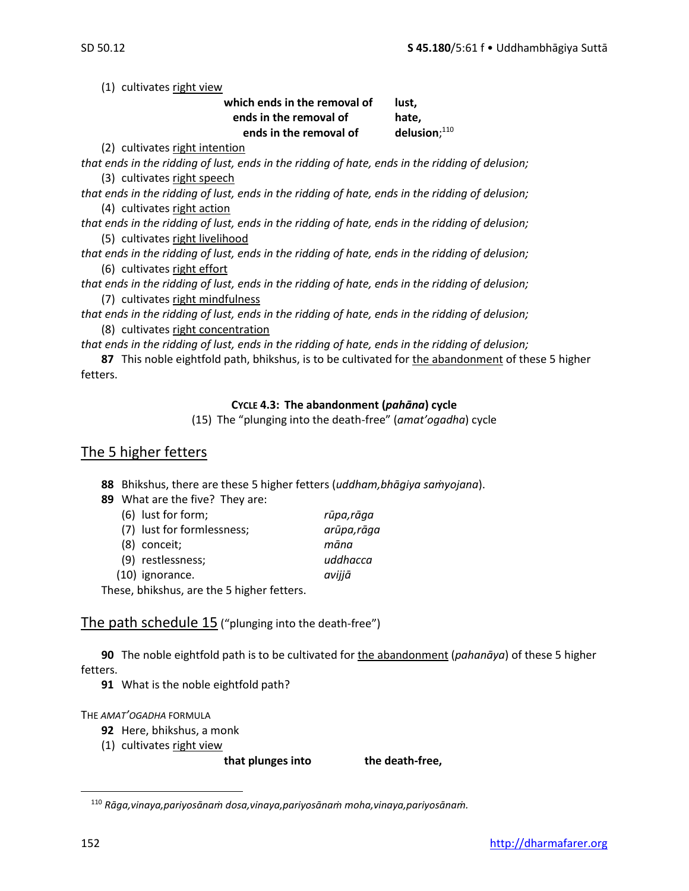(1) cultivates right view

| which ends in the removal of | lust.              |
|------------------------------|--------------------|
| ends in the removal of       | hate,              |
| ends in the removal of       | delusion; $^{110}$ |

(2) cultivates right intention

*that ends in the ridding of lust, ends in the ridding of hate, ends in the ridding of delusion;* (3) cultivates right speech

*that ends in the ridding of lust, ends in the ridding of hate, ends in the ridding of delusion;* (4) cultivates right action

*that ends in the ridding of lust, ends in the ridding of hate, ends in the ridding of delusion;* (5) cultivates right livelihood

*that ends in the ridding of lust, ends in the ridding of hate, ends in the ridding of delusion;* (6) cultivates right effort

*that ends in the ridding of lust, ends in the ridding of hate, ends in the ridding of delusion;* (7) cultivates right mindfulness

*that ends in the ridding of lust, ends in the ridding of hate, ends in the ridding of delusion;* (8) cultivates right concentration

*that ends in the ridding of lust, ends in the ridding of hate, ends in the ridding of delusion;*

**87** This noble eightfold path, bhikshus, is to be cultivated for the abandonment of these 5 higher fetters.

#### **CYCLE 4.3: The abandonment (***pahāna***) cycle**

(15) The "plunging into the death-free" (*amat'ogadha*) cycle

## The 5 higher fetters

**88** Bhikshus, there are these 5 higher fetters (*uddham,bhāgiya saṁyojana*).

| 89 What are the five? They are: |                                            |             |
|---------------------------------|--------------------------------------------|-------------|
|                                 | (6) lust for form;                         | rūpa,rāga   |
|                                 | (7) lust for formlessness;                 | arūpa, rāga |
|                                 | (8) conceit;                               | māna        |
|                                 | (9) restlessness;                          | uddhacca    |
|                                 | (10) ignorance.                            | avijjā      |
|                                 | These, bhikshus, are the 5 higher fetters. |             |

## The path schedule 15 ("plunging into the death-free")

**90** The noble eightfold path is to be cultivated for the abandonment (*pahanāya*) of these 5 higher fetters.

**91** What is the noble eightfold path?

#### THE *AMAT'OGADHA* FORMULA

- **92** Here, bhikshus, a monk
- (1) cultivates right view

that plunges into the death-free,

<sup>110</sup> *Rāga,vinaya,pariyosānaṁ dosa,vinaya,pariyosānaṁ moha,vinaya,pariyosānaṁ.*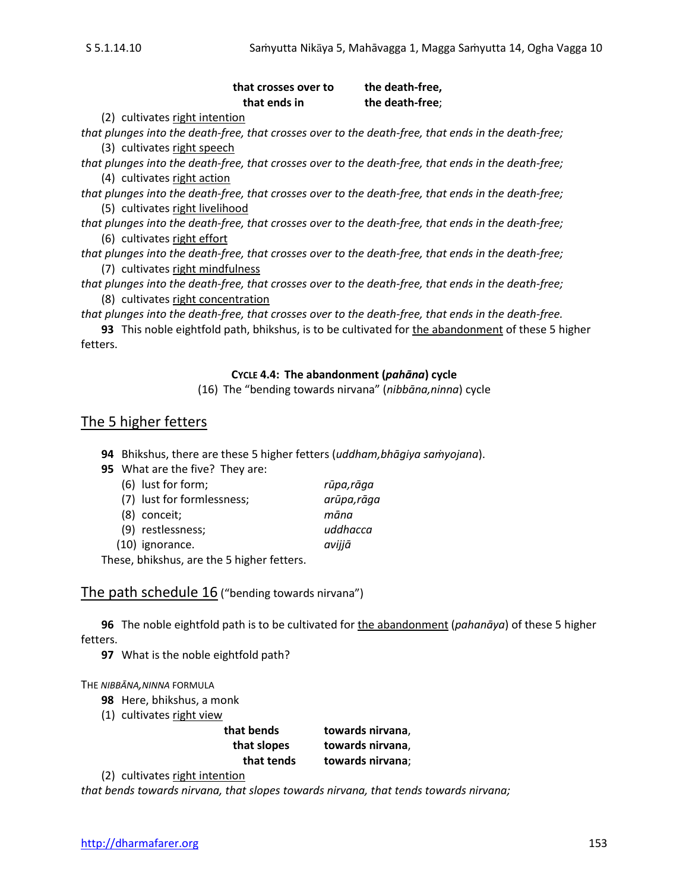#### that crosses over to the death-free, **that ends in the death-free**;

(2) cultivates right intention

*that plunges into the death-free, that crosses over to the death-free, that ends in the death-free;* (3) cultivates right speech

*that plunges into the death-free, that crosses over to the death-free, that ends in the death-free;* (4) cultivates right action

*that plunges into the death-free, that crosses over to the death-free, that ends in the death-free;* (5) cultivates right livelihood

*that plunges into the death-free, that crosses over to the death-free, that ends in the death-free;* (6) cultivates right effort

*that plunges into the death-free, that crosses over to the death-free, that ends in the death-free;* (7) cultivates right mindfulness

*that plunges into the death-free, that crosses over to the death-free, that ends in the death-free;* (8) cultivates right concentration

*that plunges into the death-free, that crosses over to the death-free, that ends in the death-free.*

**93** This noble eightfold path, bhikshus, is to be cultivated for the abandonment of these 5 higher fetters.

#### **CYCLE 4.4: The abandonment (***pahāna***) cycle**

(16) The "bending towards nirvana" (*nibbāna,ninna*) cycle

## The 5 higher fetters

**94** Bhikshus, there are these 5 higher fetters (*uddham,bhāgiya saṁyojana*).

**95** What are the five? They are:

| (6) lust for form;                    | rūpa,rāga   |
|---------------------------------------|-------------|
| (7) lust for formlessness;            | arūpa, rāga |
| (8) conceit;                          | māna        |
| (9) restlessness;                     | uddhacca    |
| (10) ignorance.                       | avijjā      |
| saa lalalada saa taa Filalala fattasa |             |

These, bhikshus, are the 5 higher fetters.

The path schedule 16 ("bending towards nirvana")

**96** The noble eightfold path is to be cultivated for the abandonment (*pahanāya*) of these 5 higher fetters.

**97** What is the noble eightfold path?

THE *NIBBĀNA,NINNA* FORMULA

- **98** Here, bhikshus, a monk
- (1) cultivates right view

| that bends  | towards nirvana, |
|-------------|------------------|
| that slopes | towards nirvana, |
| that tends  | towards nirvana; |

(2) cultivates right intention

*that bends towards nirvana, that slopes towards nirvana, that tends towards nirvana;*